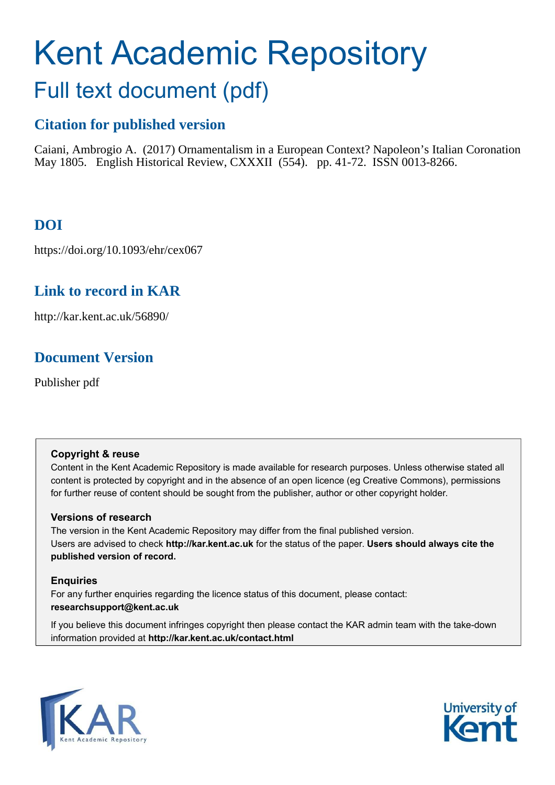# Kent Academic Repository Full text document (pdf)

# **Citation for published version**

Caiani, Ambrogio A. (2017) Ornamentalism in a European Context? Napoleon's Italian Coronation May 1805. English Historical Review, CXXXII (554). pp. 41-72. ISSN 0013-8266.

# **DOI**

https://doi.org/10.1093/ehr/cex067

# **Link to record in KAR**

http://kar.kent.ac.uk/56890/

# <span id="page-0-0"></span>**Document Version**

<span id="page-0-2"></span><span id="page-0-1"></span>Publisher pdf

## <span id="page-0-4"></span><span id="page-0-3"></span>**Copyright & reuse**

<span id="page-0-5"></span>Content in the Kent Academic Repository is made available for research purposes. Unless otherwise stated all content is protected by copyright and in the absence of an open licence (eg Creative Commons), permissions for further reuse of content should be sought from the publisher, author or other copyright holder.

## <span id="page-0-6"></span>**Versions of research**

The version in the Kent Academic Repository may differ from the final published version. Users are advised to check **http://kar.kent.ac.uk** for the status of the paper. **Users should always cite the published version of record.**

## **Enquiries**

For any further enquiries regarding the licence status of this document, please contact: **researchsupport@kent.ac.uk**

If you believe this document infringes copyright then please contact the KAR admin team with the take-down information provided at **http://kar.kent.ac.uk/contact.html**



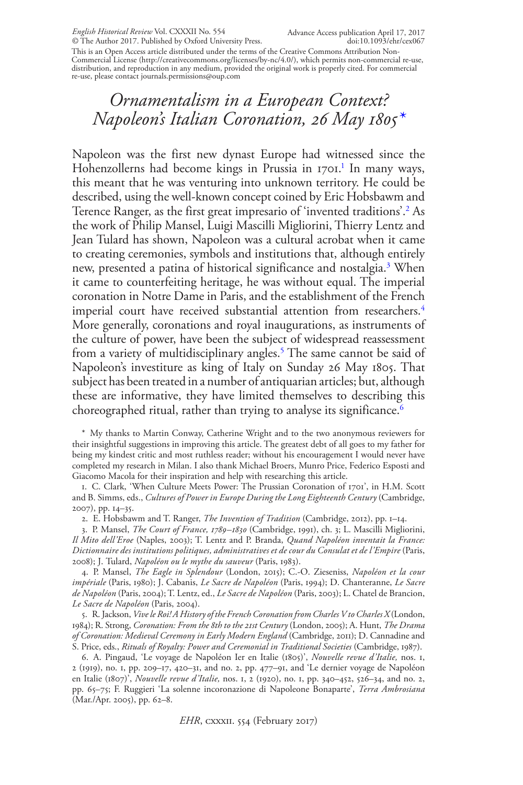This is an Open Access article distributed under the terms of the Creative Commons Attribution Non-Commercial License (http://creativecommons.org/licenses/by-nc/4.0/), which permits non-commercial re-use, distribution, and reproduction in any medium, provided the original work is properly cited. For commercial re-use, please contact journals.permissions@oup.com

## *Ornamentalism in a European Context? Napoleon's Italian Coronation, 26 May 1805[\\*](#page-0-0)*

Napoleon was the first new dynast Europe had witnessed since the Hohenzollerns had become kings in Prussia in [1](#page-0-1)701.<sup>1</sup> In many ways, this meant that he was venturing into unknown territory. He could be described, using the well-known concept coined by Eric Hobsbawm and Terence Ranger, as the first great impresario of 'invented traditions'.[2](#page-0-2) As the work of Philip Mansel, Luigi Mascilli Migliorini, Thierry Lentz and Jean Tulard has shown, Napoleon was a cultural acrobat when it came to creating ceremonies, symbols and institutions that, although entirely new, presented a patina of historical significance and nostalgia.<sup>[3](#page-0-3)</sup> When it came to counterfeiting heritage, he was without equal. The imperial coronation in Notre Dame in Paris, and the establishment of the French imperial court have received substantial attention from researchers.<sup>[4](#page-0-4)</sup> More generally, coronations and royal inaugurations, as instruments of the culture of power, have been the subject of widespread reassessment from a variety of multidisciplinary angles.<sup>[5](#page-0-5)</sup> The same cannot be said of Napoleon's investiture as king of Italy on Sunday 26 May 1805. That subject has been treated in a number of antiquarian articles; but, although these are informative, they have limited themselves to describing this choreographed ritual, rather than trying to analyse its significance.<sup>[6](#page-0-6)</sup>

\* My thanks to Martin Conway, Catherine Wright and to the two anonymous reviewers for their insightful suggestions in improving this article. The greatest debt of all goes to my father for being my kindest critic and most ruthless reader; without his encouragement I would never have completed my research in Milan. I also thank Michael Broers, Munro Price, Federico Esposti and Giacomo Macola for their inspiration and help with researching this article.

1. C. Clark, 'When Culture Meets Power: The Prussian Coronation of 1701', in H.M. Scott and B. Simms, eds., *Cultures of Power in Europe During the Long Eighteenth Century* (Cambridge, 2007), pp. 14–35.

2. E. Hobsbawm and T. Ranger, *The Invention of Tradition* (Cambridge, 2012), pp. 1–14.

3. P. Mansel, *The Court of France, 1789–1830* (Cambridge, 1991), ch. 3; L. Mascilli Migliorini, *Il Mito dell'Eroe* (Naples, 2003); T. Lentz and P. Branda, *Quand Napoléon inventait la France: Dictionnaire des institutions politiques, administratives et de cour du Consulat et de l'Empire* (Paris, 2008); J. Tulard, *Napoléon ou le mythe du sauveur* (Paris, 1983).

4. P. Mansel, *The Eagle in Splendour* (London, 2015); C.-O. Zieseniss, *Napoléon et la cour impériale* (Paris, 1980); J. Cabanis, *Le Sacre de Napoléon* (Paris, 1994); D. Chanteranne, *Le Sacre de Napoléon* (Paris, 2004); T. Lentz, ed., *Le Sacre de Napoléon* (Paris, 2003); L. Chatel de Brancion, *Le Sacre de Napoléon* (Paris, 2004).

<span id="page-1-1"></span><span id="page-1-0"></span>5. R. Jackson, *Vive le Roi! A History of the French Coronation from Charles V to Charles X* (London, 1984); R. Strong, *Coronation: From the 8th to the 21st Century* (London, 2005); A. Hunt, *The Drama of Coronation: Medieval Ceremony in Early Modern England* (Cambridge, 2011); D. Cannadine and S. Price, eds., *Rituals of Royalty: Power and Ceremonial in Traditional Societies* (Cambridge, 1987).

<span id="page-1-5"></span><span id="page-1-4"></span><span id="page-1-3"></span><span id="page-1-2"></span>6. A. Pingaud, 'Le voyage de Napoléon Ier en Italie (1805)', *Nouvelle revue d'Italie,* nos. 1, 2 (1919), no. 1, pp. 209–17, 420–31, and no. 2, pp. 477–91, and 'Le dernier voyage de Napoléon en Italie (1807)', *Nouvelle revue d'Italie,* nos. 1, 2 (1920), no. 1, pp. 340–452, 526–34, and no. 2, pp. 65–75; F. Ruggieri 'La solenne incoronazione di Napoleone Bonaparte', *Terra Ambrosiana* (Mar./Apr. 2005), pp. 62–8.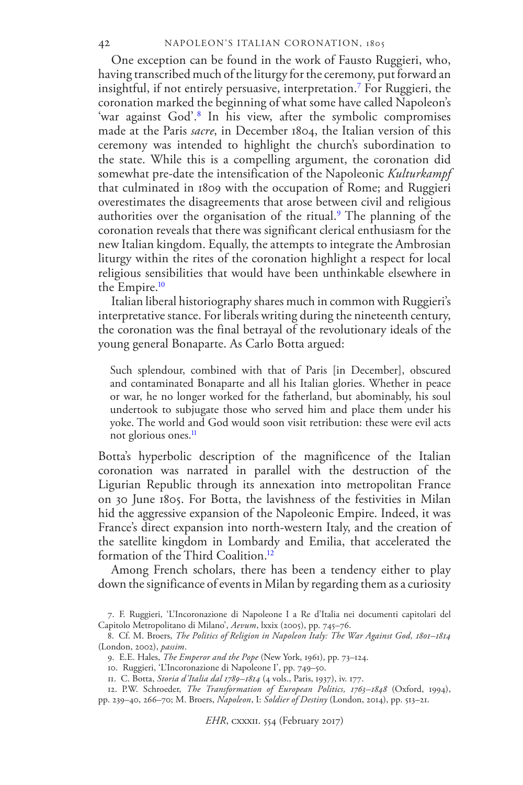One exception can be found in the work of Fausto Ruggieri, who, having transcribed much of the liturgy for the ceremony, put forward an insightful, if not entirely persuasive, interpretation.[7](#page-1-0) For Ruggieri, the coronation marked the beginning of what some have called Napoleon's 'war against God'.[8](#page-1-1) In his view, after the symbolic compromises made at the Paris *sacre*, in December 1804, the Italian version of this ceremony was intended to highlight the church's subordination to the state. While this is a compelling argument, the coronation did somewhat pre-date the intensification of the Napoleonic *Kulturkampf* that culminated in 1809 with the occupation of Rome; and Ruggieri overestimates the disagreements that arose between civil and religious authorities over the organisation of the ritual.<sup>[9](#page-1-2)</sup> The planning of the coronation reveals that there was significant clerical enthusiasm for the new Italian kingdom. Equally, the attempts to integrate the Ambrosian liturgy within the rites of the coronation highlight a respect for local religious sensibilities that would have been unthinkable elsewhere in the Empire.<sup>[10](#page-1-3)</sup>

Italian liberal historiography shares much in common with Ruggieri's interpretative stance. For liberals writing during the nineteenth century, the coronation was the final betrayal of the revolutionary ideals of the young general Bonaparte. As Carlo Botta argued:

Such splendour, combined with that of Paris [in December], obscured and contaminated Bonaparte and all his Italian glories. Whether in peace or war, he no longer worked for the fatherland, but abominably, his soul undertook to subjugate those who served him and place them under his yoke. The world and God would soon visit retribution: these were evil acts not glorious ones.<sup>[11](#page-1-4)</sup>

Botta's hyperbolic description of the magnificence of the Italian coronation was narrated in parallel with the destruction of the Ligurian Republic through its annexation into metropolitan France on 30 June 1805. For Botta, the lavishness of the festivities in Milan hid the aggressive expansion of the Napoleonic Empire. Indeed, it was France's direct expansion into north-western Italy, and the creation of the satellite kingdom in Lombardy and Emilia, that accelerated the formation of the Third Coalition.<sup>[12](#page-1-5)</sup>

<span id="page-2-1"></span><span id="page-2-0"></span>Among French scholars, there has been a tendency either to play down the significance of events in Milan by regarding them as a curiosity

<span id="page-2-2"></span><sup>7.</sup> F. Ruggieri, 'L'Incoronazione di Napoleone I a Re d'Italia nei documenti capitolari del Capitolo Metropolitano di Milano', *Aevum*, lxxix (2005), pp. 745–76.

<span id="page-2-4"></span><span id="page-2-3"></span><sup>8.</sup> Cf. M. Broers, *The Politics of Religion in Napoleon Italy: The War Against God, 1801–1814* (London, 2002), *passim*.

<sup>9.</sup> E.E. Hales, *The Emperor and the Pope* (New York, 1961), pp. 73–124.

<sup>10.</sup> Ruggieri, 'L'Incoronazione di Napoleone I', pp. 749–50.

<sup>11.</sup> C. Botta, *Storia d'Italia dal 1789–1814* (4 vols., Paris, 1937), iv. 177.

<span id="page-2-5"></span><sup>12.</sup> P.W. Schroeder, *The Transformation of European Politics, 1763–1848* (Oxford, 1994), pp. 239–40, 266–70; M. Broers, *Napoleon*, I: *Soldier of Destiny* (London, 2014), pp. 513–21.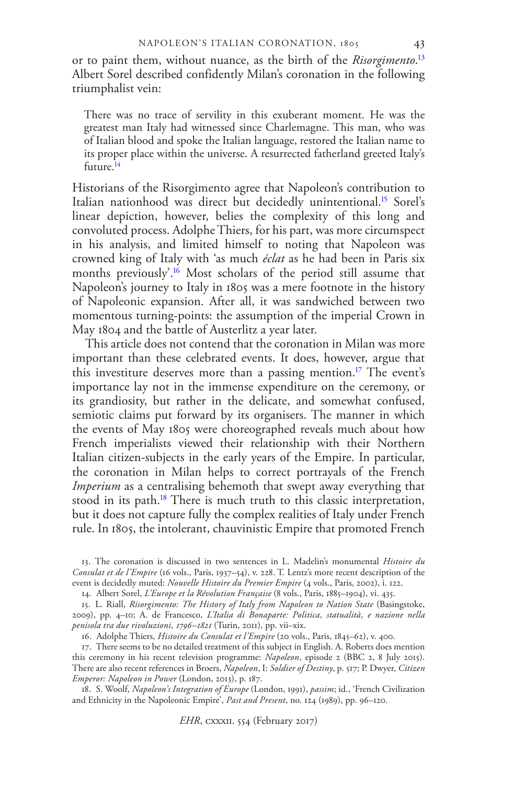or to paint them, without nuance, as the birth of the *Risorgimento*. [13](#page-2-0) Albert Sorel described confidently Milan's coronation in the following triumphalist vein:

There was no trace of servility in this exuberant moment. He was the greatest man Italy had witnessed since Charlemagne. This man, who was of Italian blood and spoke the Italian language, restored the Italian name to its proper place within the universe. A resurrected fatherland greeted Italy's future.<sup>[14](#page-2-1)</sup>

Historians of the Risorgimento agree that Napoleon's contribution to Italian nationhood was direct but decidedly unintentional.<sup>[15](#page-2-2)</sup> Sorel's linear depiction, however, belies the complexity of this long and convoluted process. Adolphe Thiers, for his part, was more circumspect in his analysis, and limited himself to noting that Napoleon was crowned king of Italy with 'as much *éclat* as he had been in Paris six months previously'.[16](#page-2-3) Most scholars of the period still assume that Napoleon's journey to Italy in 1805 was a mere footnote in the history of Napoleonic expansion. After all, it was sandwiched between two momentous turning-points: the assumption of the imperial Crown in May 1804 and the battle of Austerlitz a year later.

This article does not contend that the coronation in Milan was more important than these celebrated events. It does, however, argue that this investiture deserves more than a passing mention.<sup>[17](#page-2-4)</sup> The event's importance lay not in the immense expenditure on the ceremony, or its grandiosity, but rather in the delicate, and somewhat confused, semiotic claims put forward by its organisers. The manner in which the events of May 1805 were choreographed reveals much about how French imperialists viewed their relationship with their Northern Italian citizen-subjects in the early years of the Empire. In particular, the coronation in Milan helps to correct portrayals of the French *Imperium* as a centralising behemoth that swept away everything that stood in its path.<sup>[18](#page-2-5)</sup> There is much truth to this classic interpretation, but it does not capture fully the complex realities of Italy under French rule. In 1805, the intolerant, chauvinistic Empire that promoted French

<span id="page-3-0"></span>13. The coronation is discussed in two sentences in L. Madelin's monumental *Histoire du Consulat et de l'Empire* (16 vols., Paris, 1937–54), v. 228. T. Lentz's more recent description of the event is decidedly muted: *Nouvelle Histoire du Premier Empire* (4 vols., Paris, 2002), i. 122.

<span id="page-3-1"></span>14. Albert Sorel, *L'Europe et la Révolution Française* (8 vols., Paris, 1885–1904), vi. 435.

15. L. Riall, *Risorgimento: The History of Italy from Napoleon to Nation State* (Basingstoke, 2009), pp. 4–10; A. de Francesco, *L'Italia di Bonaparte: Politica, statualità, e nazione nella penisola tra due rivoluzioni, 1796–1821* (Turin, 2011), pp. vii–xix.

<span id="page-3-3"></span><span id="page-3-2"></span>16. Adolphe Thiers, *Histoire du Consulat et l'Empire* (20 vols., Paris, 1845–62), v. 400.

17. There seems to be no detailed treatment of this subject in English. A. Roberts does mention this ceremony in his recent television programme: *Napoleon*, episode 2 (BBC 2, 8 July 2015). There are also recent references in Broers, *Napoleon*, I: *Soldier of Destiny*, p. 517; P. Dwyer, *Citizen Emperor: Napoleon in Power* (London, 2013), p. 187.

<span id="page-3-4"></span>18. S. Woolf, *Napoleon's Integration of Europe* (London, 1991), *passim*; id., 'French Civilization and Ethnicity in the Napoleonic Empire', *Past and Present*, no. 124 (1989), pp. 96–120.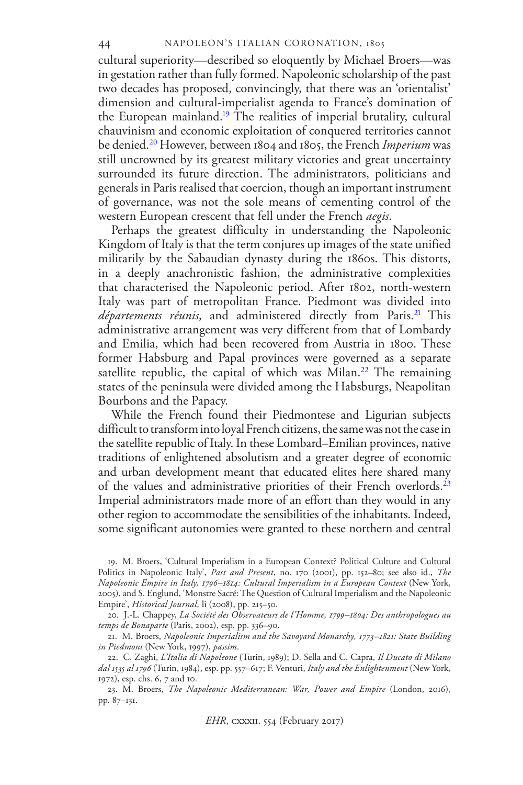cultural superiority—described so eloquently by Michael Broers—was in gestation rather than fully formed. Napoleonic scholarship of the past two decades has proposed, convincingly, that there was an 'orientalist' dimension and cultural-imperialist agenda to France's domination of the European mainland.[19](#page-3-0) The realities of imperial brutality, cultural chauvinism and economic exploitation of conquered territories cannot be denied.[20](#page-3-1) However, between 1804 and 1805, the French *Imperium* was still uncrowned by its greatest military victories and great uncertainty surrounded its future direction. The administrators, politicians and generals in Paris realised that coercion, though an important instrument of governance, was not the sole means of cementing control of the western European crescent that fell under the French *aegis*.

Perhaps the greatest difficulty in understanding the Napoleonic Kingdom of Italy is that the term conjures up images of the state unified militarily by the Sabaudian dynasty during the 1860s. This distorts, in a deeply anachronistic fashion, the administrative complexities that characterised the Napoleonic period. After 1802, north-western Italy was part of metropolitan France. Piedmont was divided into *départements réunis*, and administered directly from Paris.[21](#page-3-2) This administrative arrangement was very different from that of Lombardy and Emilia, which had been recovered from Austria in 1800. These former Habsburg and Papal provinces were governed as a separate satellite republic, the capital of which was Milan.<sup>[22](#page-3-3)</sup> The remaining states of the peninsula were divided among the Habsburgs, Neapolitan Bourbons and the Papacy.

While the French found their Piedmontese and Ligurian subjects difficult to transform into loyal French citizens, the same was not the case in the satellite republic of Italy. In these Lombard–Emilian provinces, native traditions of enlightened absolutism and a greater degree of economic and urban development meant that educated elites here shared many of the values and administrative priorities of their French overlords.[23](#page-3-4) Imperial administrators made more of an effort than they would in any other region to accommodate the sensibilities of the inhabitants. Indeed, some significant autonomies were granted to these northern and central

<span id="page-4-1"></span><span id="page-4-0"></span>19. M. Broers, 'Cultural Imperialism in a European Context? Political Culture and Cultural Politics in Napoleonic Italy', *Past and Present*, no. 170 (2001), pp. 152–80; see also id., *The Napoleonic Empire in Italy, 1796–1814: Cultural Imperialism in a European Context* (New York, 2005), and S. Englund, 'Monstre Sacré: The Question of Cultural Imperialism and the Napoleonic Empire', *Historical Journal,* li (2008), pp. 215–50.

<span id="page-4-2"></span>20. J.-L. Chappey, *La Société des Observateurs de l'Homme, 1799–1804: Des anthropologues au temps de Bonaparte* (Paris, 2002), esp. pp. 336–90.

<span id="page-4-3"></span>21. M. Broers, *Napoleonic Imperialism and the Savoyard Monarchy, 1773–1821: State Building in Piedmont* (New York, 1997), *passim*.

<span id="page-4-5"></span><span id="page-4-4"></span>22. C. Zaghi, *L'Italia di Napoleone* (Turin, 1989); D. Sella and C. Capra, *Il Ducato di Milano dal 1535 al 1796* (Turin, 1984), esp. pp. 557–617; F. Venturi, *Italy and the Enlightenment* (New York, 1972), esp. chs. 6, 7 and 10.

23. M. Broers, *The Napoleonic Mediterranean: War, Power and Empire* (London, 2016), pp. 87–131.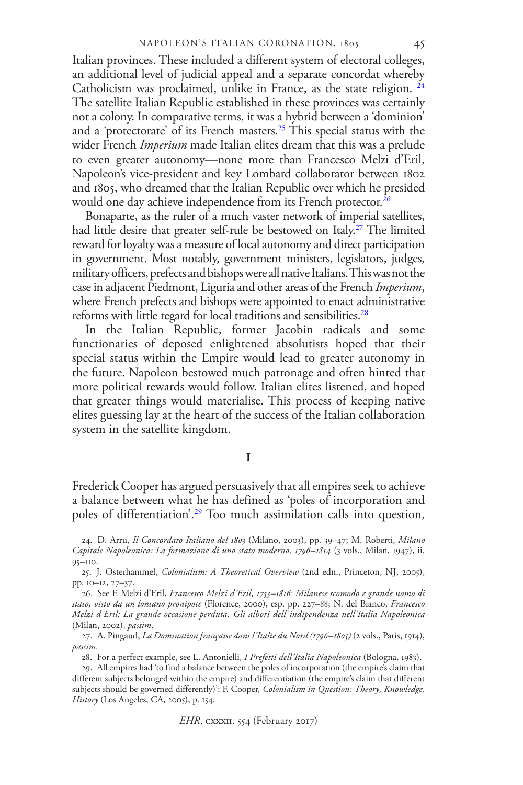Italian provinces. These included a different system of electoral colleges, an additional level of judicial appeal and a separate concordat whereby Catholicism was proclaimed, unlike in France, as the state religion. <sup>[24](#page-4-0)</sup> The satellite Italian Republic established in these provinces was certainly not a colony. In comparative terms, it was a hybrid between a 'dominion' and a 'protectorate' of its French masters.[25](#page-4-1) This special status with the wider French *Imperium* made Italian elites dream that this was a prelude to even greater autonomy—none more than Francesco Melzi d'Eril, Napoleon's vice-president and key Lombard collaborator between 1802 and 1805, who dreamed that the Italian Republic over which he presided would one day achieve independence from its French protector.<sup>[26](#page-4-2)</sup>

Bonaparte, as the ruler of a much vaster network of imperial satellites, had little desire that greater self-rule be bestowed on Italy.<sup>[27](#page-4-3)</sup> The limited reward for loyalty was a measure of local autonomy and direct participation in government. Most notably, government ministers, legislators, judges, military officers, prefects and bishops were all native Italians. This was not the case in adjacent Piedmont, Liguria and other areas of the French *Imperium*, where French prefects and bishops were appointed to enact administrative reforms with little regard for local traditions and sensibilities.<sup>[28](#page-4-4)</sup>

In the Italian Republic, former Jacobin radicals and some functionaries of deposed enlightened absolutists hoped that their special status within the Empire would lead to greater autonomy in the future. Napoleon bestowed much patronage and often hinted that more political rewards would follow. Italian elites listened, and hoped that greater things would materialise. This process of keeping native elites guessing lay at the heart of the success of the Italian collaboration system in the satellite kingdom.

#### **I**

Frederick Cooper has argued persuasively that all empires seek to achieve a balance between what he has defined as 'poles of incorporation and poles of differentiation'.[29](#page-4-5) Too much assimilation calls into question,

<sup>24.</sup> D. Arru, *Il Concordato Italiano del 1803* (Milano, 2003), pp. 39–47; M. Roberti, *Milano Capitale Napoleonica: La formazione di uno stato moderno, 1796–1814* (3 vols., Milan, 1947), ii. 95–110.

<sup>25.</sup> J. Osterhammel, *Colonialism: A Theoretical Overview* (2nd edn., Princeton, NJ, 2005), pp. 10–12, 27–37.

<sup>26.</sup> See F. Melzi d'Eril, *Francesco Melzi d'Eril, 1753–1816: Milanese scomodo e grande uomo di stato, visto da un lontano pronipote* (Florence, 2000), esp. pp. 227–88; N. del Bianco, *Francesco Melzi d'Eril: La grande occasione perduta. Gli albori dell'indipendenza nell'Italia Napoleonica* (Milan, 2002), *passim*.

<sup>27.</sup> A. Pingaud, *La Domination française dans l'Italie du Nord (1796–1805)* (2 vols., Paris, 1914), *passim*.

<span id="page-5-1"></span><span id="page-5-0"></span><sup>28.</sup> For a perfect example, see L. Antonielli, *I Prefetti dell'Italia Napoleonica* (Bologna, 1983).

<span id="page-5-2"></span><sup>29.</sup> All empires had 'to find a balance between the poles of incorporation (the empire's claim that different subjects belonged within the empire) and differentiation (the empire's claim that different subjects should be governed differently)': F. Cooper, *Colonialism in Question: Theory, Knowledge, History* (Los Angeles, CA, 2005), p. 154.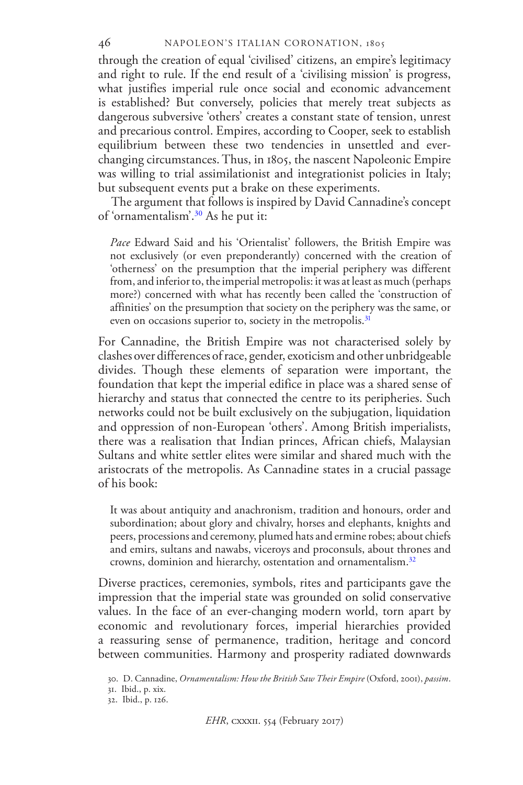#### NAPOLEON'S ITALIAN CORONATION, 1805

46

through the creation of equal 'civilised' citizens, an empire's legitimacy and right to rule. If the end result of a 'civilising mission' is progress, what justifies imperial rule once social and economic advancement is established? But conversely, policies that merely treat subjects as dangerous subversive 'others' creates a constant state of tension, unrest and precarious control. Empires, according to Cooper, seek to establish equilibrium between these two tendencies in unsettled and everchanging circumstances. Thus, in 1805, the nascent Napoleonic Empire was willing to trial assimilationist and integrationist policies in Italy; but subsequent events put a brake on these experiments.

The argument that follows is inspired by David Cannadine's concept of 'ornamentalism'.[30](#page-5-0) As he put it:

*Pace* Edward Said and his 'Orientalist' followers, the British Empire was not exclusively (or even preponderantly) concerned with the creation of 'otherness' on the presumption that the imperial periphery was different from, and inferior to, the imperial metropolis: it was at least as much (perhaps more?) concerned with what has recently been called the 'construction of affinities' on the presumption that society on the periphery was the same, or even on occasions superior to, society in the metropolis.<sup>[31](#page-5-1)</sup>

For Cannadine, the British Empire was not characterised solely by clashes over differences of race, gender, exoticism and other unbridgeable divides. Though these elements of separation were important, the foundation that kept the imperial edifice in place was a shared sense of hierarchy and status that connected the centre to its peripheries. Such networks could not be built exclusively on the subjugation, liquidation and oppression of non-European 'others'. Among British imperialists, there was a realisation that Indian princes, African chiefs, Malaysian Sultans and white settler elites were similar and shared much with the aristocrats of the metropolis. As Cannadine states in a crucial passage of his book:

<span id="page-6-0"></span>It was about antiquity and anachronism, tradition and honours, order and subordination; about glory and chivalry, horses and elephants, knights and peers, processions and ceremony, plumed hats and ermine robes; about chiefs and emirs, sultans and nawabs, viceroys and proconsuls, about thrones and crowns, dominion and hierarchy, ostentation and ornamentalism.[32](#page-5-2)

<span id="page-6-1"></span>Diverse practices, ceremonies, symbols, rites and participants gave the impression that the imperial state was grounded on solid conservative values. In the face of an ever-changing modern world, torn apart by economic and revolutionary forces, imperial hierarchies provided a reassuring sense of permanence, tradition, heritage and concord between communities. Harmony and prosperity radiated downwards

<span id="page-6-3"></span><span id="page-6-2"></span><sup>30.</sup> D. Cannadine, *Ornamentalism: How the British Saw Their Empire* (Oxford, 2001), *passim*.

<sup>31.</sup> Ibid., p. xix.

<span id="page-6-4"></span><sup>32.</sup> Ibid., p. 126.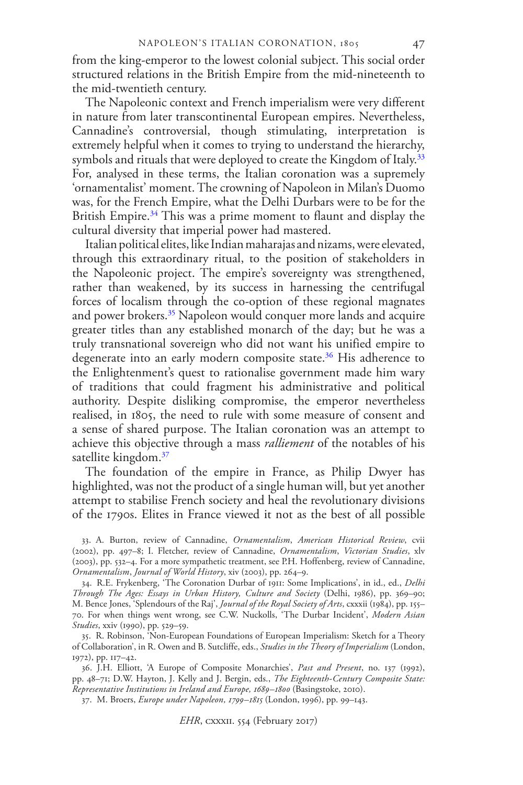from the king-emperor to the lowest colonial subject. This social order structured relations in the British Empire from the mid-nineteenth to the mid-twentieth century.

The Napoleonic context and French imperialism were very different in nature from later transcontinental European empires. Nevertheless, Cannadine's controversial, though stimulating, interpretation is extremely helpful when it comes to trying to understand the hierarchy, symbols and rituals that were deployed to create the Kingdom of Italy.<sup>[33](#page-6-0)</sup> For, analysed in these terms, the Italian coronation was a supremely 'ornamentalist' moment. The crowning of Napoleon in Milan's Duomo was, for the French Empire, what the Delhi Durbars were to be for the British Empire.<sup>[34](#page-6-1)</sup> This was a prime moment to flaunt and display the cultural diversity that imperial power had mastered.

Italian political elites, like Indian maharajas and nizams, were elevated, through this extraordinary ritual, to the position of stakeholders in the Napoleonic project. The empire's sovereignty was strengthened, rather than weakened, by its success in harnessing the centrifugal forces of localism through the co-option of these regional magnates and power brokers.<sup>[35](#page-6-2)</sup> Napoleon would conquer more lands and acquire greater titles than any established monarch of the day; but he was a truly transnational sovereign who did not want his unified empire to degenerate into an early modern composite state.<sup>[36](#page-6-3)</sup> His adherence to the Enlightenment's quest to rationalise government made him wary of traditions that could fragment his administrative and political authority. Despite disliking compromise, the emperor nevertheless realised, in 1805, the need to rule with some measure of consent and a sense of shared purpose. The Italian coronation was an attempt to achieve this objective through a mass *ralliement* of the notables of his satellite kingdom.<sup>[37](#page-6-4)</sup>

The foundation of the empire in France, as Philip Dwyer has highlighted, was not the product of a single human will, but yet another attempt to stabilise French society and heal the revolutionary divisions of the 1790s. Elites in France viewed it not as the best of all possible

33. A. Burton, review of Cannadine, *Ornamentalism*, *American Historical Review*, cvii (2002), pp. 497–8; I. Fletcher, review of Cannadine, *Ornamentalism*, *Victorian Studies*, xlv (2003), pp. 532–4. For a more sympathetic treatment, see P.H. Hoffenberg, review of Cannadine, *Ornamentalism*, *Journal of World History*, xiv (2003), pp. 264–9.

<span id="page-7-1"></span><span id="page-7-0"></span>34. R.E. Frykenberg, 'The Coronation Durbar of 1911: Some Implications', in id., ed., *Delhi Through The Ages: Essays in Urban History, Culture and Society* (Delhi, 1986), pp. 369–90; M. Bence Jones, 'Splendours of the Raj', *Journal of the Royal Society of Arts*, cxxxii (1984), pp. 155– 70. For when things went wrong, see C.W. Nuckolls, 'The Durbar Incident', *Modern Asian Studies*, xxiv (1990), pp. 529–59.

<span id="page-7-3"></span><span id="page-7-2"></span>35. R. Robinson, 'Non-European Foundations of European Imperialism: Sketch for a Theory of Collaboration', in R. Owen and B. Sutcliffe, eds., *Studies in the Theory of Imperialism* (London, 1972), pp. 117–42.

36. J.H. Elliott, 'A Europe of Composite Monarchies', *Past and Present*, no. 137 (1992), pp. 48–71; D.W. Hayton, J. Kelly and J. Bergin, eds., *The Eighteenth-Century Composite State: Representative Institutions in Ireland and Europe, 1689–1800* (Basingstoke, 2010).

<span id="page-7-5"></span><span id="page-7-4"></span>37. M. Broers, *Europe under Napoleon, 1799–1815* (London, 1996), pp. 99–143.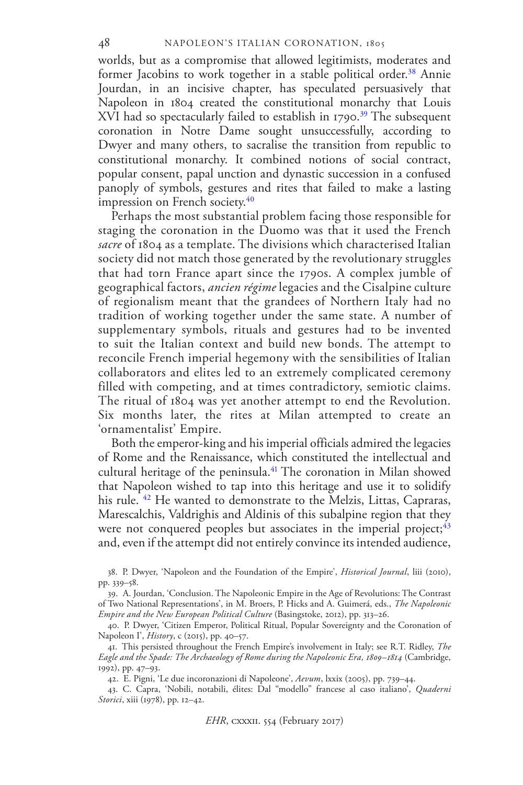worlds, but as a compromise that allowed legitimists, moderates and former Jacobins to work together in a stable political order.<sup>[38](#page-7-0)</sup> Annie Jourdan, in an incisive chapter, has speculated persuasively that Napoleon in 1804 created the constitutional monarchy that Louis  $XVI$  had so spectacularly failed to establish in 1790.<sup>[39](#page-7-1)</sup> The subsequent coronation in Notre Dame sought unsuccessfully, according to Dwyer and many others, to sacralise the transition from republic to constitutional monarchy. It combined notions of social contract, popular consent, papal unction and dynastic succession in a confused panoply of symbols, gestures and rites that failed to make a lasting impression on French society.<sup>[40](#page-7-2)</sup>

Perhaps the most substantial problem facing those responsible for staging the coronation in the Duomo was that it used the French *sacre* of 1804 as a template. The divisions which characterised Italian society did not match those generated by the revolutionary struggles that had torn France apart since the 1790s. A complex jumble of geographical factors, *ancien régime* legacies and the Cisalpine culture of regionalism meant that the grandees of Northern Italy had no tradition of working together under the same state. A number of supplementary symbols, rituals and gestures had to be invented to suit the Italian context and build new bonds. The attempt to reconcile French imperial hegemony with the sensibilities of Italian collaborators and elites led to an extremely complicated ceremony filled with competing, and at times contradictory, semiotic claims. The ritual of 1804 was yet another attempt to end the Revolution. Six months later, the rites at Milan attempted to create an 'ornamentalist' Empire.

Both the emperor-king and his imperial officials admired the legacies of Rome and the Renaissance, which constituted the intellectual and cultural heritage of the peninsula.<sup>[41](#page-7-3)</sup> The coronation in Milan showed that Napoleon wished to tap into this heritage and use it to solidify his rule. <sup>[42](#page-7-4)</sup> He wanted to demonstrate to the Melzis, Littas, Capraras, Marescalchis, Valdrighis and Aldinis of this subalpine region that they were not conquered peoples but associates in the imperial project;  $43$ and, even if the attempt did not entirely convince its intended audience,

42. E. Pigni, 'Le due incoronazioni di Napoleone', *Aevum*, lxxix (2005), pp. 739–44.

<span id="page-8-3"></span>43. C. Capra, 'Nobili, notabili, élites: Dal "modello" francese al caso italiano', *Quaderni Storici*, xiii (1978), pp. 12–42.

<sup>38.</sup> P. Dwyer, 'Napoleon and the Foundation of the Empire', *Historical Journal*, liii (2010), pp. 339–58.

<sup>39.</sup> A. Jourdan, 'Conclusion. The Napoleonic Empire in the Age of Revolutions: The Contrast of Two National Representations', in M. Broers, P. Hicks and A. Guimerá, eds., *The Napoleonic Empire and the New European Political Culture* (Basingstoke, 2012), pp. 313–26.

<span id="page-8-0"></span><sup>40.</sup> P. Dwyer, 'Citizen Emperor, Political Ritual, Popular Sovereignty and the Coronation of Napoleon I', *History*, c (2015), pp. 40–57.

<span id="page-8-2"></span><span id="page-8-1"></span><sup>41.</sup> This persisted throughout the French Empire's involvement in Italy; see R.T. Ridley, *The Eagle and the Spade: The Archaeology of Rome during the Napoleonic Era, 1809–1814* (Cambridge, 1992), pp. 47–93.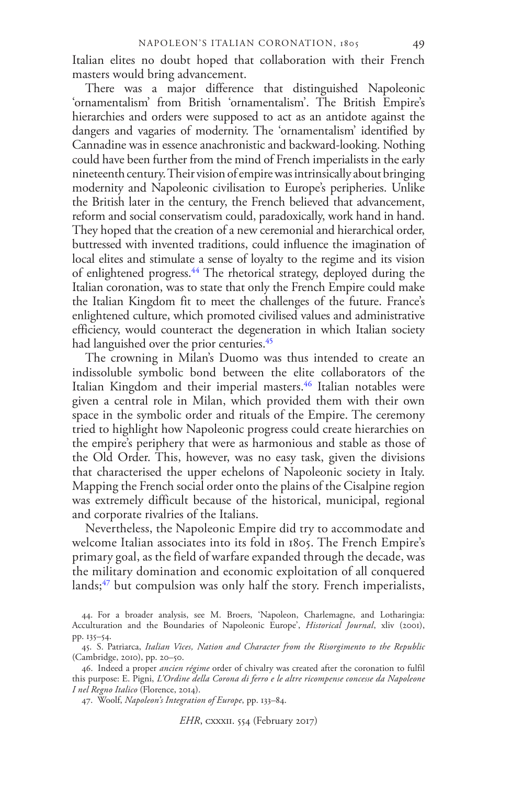Italian elites no doubt hoped that collaboration with their French masters would bring advancement.

There was a major difference that distinguished Napoleonic 'ornamentalism' from British 'ornamentalism'. The British Empire's hierarchies and orders were supposed to act as an antidote against the dangers and vagaries of modernity. The 'ornamentalism' identified by Cannadine was in essence anachronistic and backward-looking. Nothing could have been further from the mind of French imperialists in the early nineteenth century. Their vision of empire was intrinsically about bringing modernity and Napoleonic civilisation to Europe's peripheries. Unlike the British later in the century, the French believed that advancement, reform and social conservatism could, paradoxically, work hand in hand. They hoped that the creation of a new ceremonial and hierarchical order, buttressed with invented traditions, could influence the imagination of local elites and stimulate a sense of loyalty to the regime and its vision of enlightened progress.[44](#page-8-0) The rhetorical strategy, deployed during the Italian coronation, was to state that only the French Empire could make the Italian Kingdom fit to meet the challenges of the future. France's enlightened culture, which promoted civilised values and administrative efficiency, would counteract the degeneration in which Italian society had languished over the prior centuries.<sup>[45](#page-8-1)</sup>

The crowning in Milan's Duomo was thus intended to create an indissoluble symbolic bond between the elite collaborators of the Italian Kingdom and their imperial masters.<sup>[46](#page-8-2)</sup> Italian notables were given a central role in Milan, which provided them with their own space in the symbolic order and rituals of the Empire. The ceremony tried to highlight how Napoleonic progress could create hierarchies on the empire's periphery that were as harmonious and stable as those of the Old Order. This, however, was no easy task, given the divisions that characterised the upper echelons of Napoleonic society in Italy. Mapping the French social order onto the plains of the Cisalpine region was extremely difficult because of the historical, municipal, regional and corporate rivalries of the Italians.

Nevertheless, the Napoleonic Empire did try to accommodate and welcome Italian associates into its fold in 1805. The French Empire's primary goal, as the field of warfare expanded through the decade, was the military domination and economic exploitation of all conquered lands; $47$  but compulsion was only half the story. French imperialists,

<span id="page-9-1"></span><span id="page-9-0"></span><sup>44.</sup> For a broader analysis, see M. Broers, 'Napoleon, Charlemagne, and Lotharingia: Acculturation and the Boundaries of Napoleonic Europe', *Historical Journal*, xliv (2001), pp. 135–54.

<sup>45.</sup> S. Patriarca, *Italian Vices, Nation and Character from the Risorgimento to the Republic* (Cambridge, 2010), pp. 20–50.

<span id="page-9-2"></span><sup>46.</sup> Indeed a proper *ancien régime* order of chivalry was created after the coronation to fulfil this purpose: E. Pigni, *L'Ordine della Corona di ferro e le altre ricompense concesse da Napoleone I nel Regno Italico* (Florence, 2014).

<span id="page-9-4"></span><span id="page-9-3"></span><sup>47.</sup> Woolf, *Napoleon's Integration of Europe*, pp. 133–84.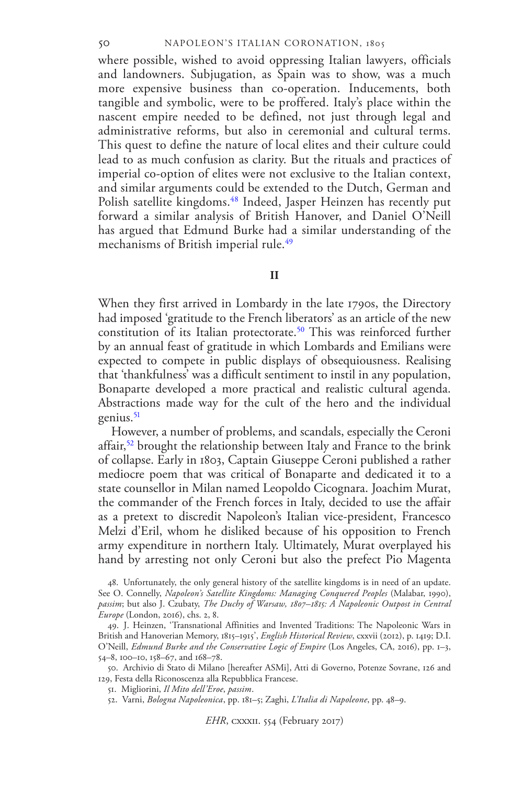#### NAPOLEON'S ITALIAN CORONATION, 1805

where possible, wished to avoid oppressing Italian lawyers, officials and landowners. Subjugation, as Spain was to show, was a much more expensive business than co-operation. Inducements, both tangible and symbolic, were to be proffered. Italy's place within the nascent empire needed to be defined, not just through legal and administrative reforms, but also in ceremonial and cultural terms. This quest to define the nature of local elites and their culture could lead to as much confusion as clarity. But the rituals and practices of imperial co-option of elites were not exclusive to the Italian context, and similar arguments could be extended to the Dutch, German and Polish satellite kingdoms.<sup>[48](#page-9-0)</sup> Indeed, Jasper Heinzen has recently put forward a similar analysis of British Hanover, and Daniel O'Neill has argued that Edmund Burke had a similar understanding of the mechanisms of British imperial rule.<sup>[49](#page-9-1)</sup>

#### **II**

When they first arrived in Lombardy in the late 1790s, the Directory had imposed 'gratitude to the French liberators' as an article of the new constitution of its Italian protectorate.<sup>[50](#page-9-2)</sup> This was reinforced further by an annual feast of gratitude in which Lombards and Emilians were expected to compete in public displays of obsequiousness. Realising that 'thankfulness' was a difficult sentiment to instil in any population, Bonaparte developed a more practical and realistic cultural agenda. Abstractions made way for the cult of the hero and the individual genius. $51$ 

However, a number of problems, and scandals, especially the Ceroni affair,<sup>[52](#page-9-4)</sup> brought the relationship between Italy and France to the brink of collapse. Early in 1803, Captain Giuseppe Ceroni published a rather mediocre poem that was critical of Bonaparte and dedicated it to a state counsellor in Milan named Leopoldo Cicognara. Joachim Murat, the commander of the French forces in Italy, decided to use the affair as a pretext to discredit Napoleon's Italian vice-president, Francesco Melzi d'Eril, whom he disliked because of his opposition to French army expenditure in northern Italy. Ultimately, Murat overplayed his hand by arresting not only Ceroni but also the prefect Pio Magenta

<span id="page-10-7"></span>52. Varni, *Bologna Napoleonica*, pp. 181–5; Zaghi, *L'Italia di Napoleone*, pp. 48–9.

*EHR*, cxxxii. 554 (February 2017)

<span id="page-10-0"></span><sup>48.</sup> Unfortunately, the only general history of the satellite kingdoms is in need of an update. See O. Connelly, *Napoleon's Satellite Kingdoms: Managing Conquered Peoples* (Malabar, 1990), *passim*; but also J. Czubaty, *The Duchy of Warsaw, 1807–1815: A Napoleonic Outpost in Central Europe* (London, 2016), chs. 2, 8.

<span id="page-10-3"></span><span id="page-10-2"></span><span id="page-10-1"></span><sup>49.</sup> J. Heinzen, 'Transnational Affinities and Invented Traditions: The Napoleonic Wars in British and Hanoverian Memory, 1815–1915', *English Historical Review*, cxxvii (2012), p. 1419; D.I. O'Neill, *Edmund Burke and the Conservative Logic of Empire* (Los Angeles, CA, 2016), pp. 1–3, 54–8, 100–10, 158–67, and 168–78.

<span id="page-10-5"></span><span id="page-10-4"></span><sup>50.</sup> Archivio di Stato di Milano [hereafter ASMi], Atti di Governo, Potenze Sovrane, 126 and 129, Festa della Riconoscenza alla Repubblica Francese.

<span id="page-10-6"></span><sup>51.</sup> Migliorini, *Il Mito dell'Eroe*, *passim*.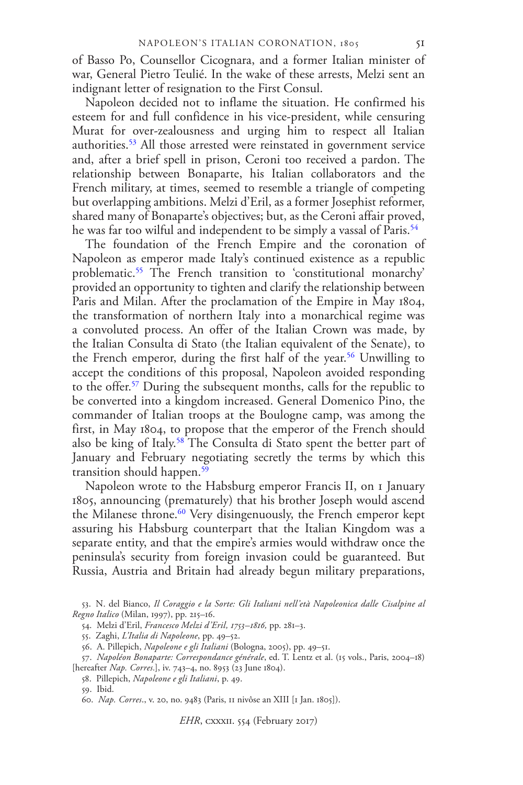of Basso Po, Counsellor Cicognara, and a former Italian minister of war, General Pietro Teulié. In the wake of these arrests, Melzi sent an indignant letter of resignation to the First Consul.

Napoleon decided not to inflame the situation. He confirmed his esteem for and full confidence in his vice-president, while censuring Murat for over-zealousness and urging him to respect all Italian authorities.[53](#page-10-0) All those arrested were reinstated in government service and, after a brief spell in prison, Ceroni too received a pardon. The relationship between Bonaparte, his Italian collaborators and the French military, at times, seemed to resemble a triangle of competing but overlapping ambitions. Melzi d'Eril, as a former Josephist reformer, shared many of Bonaparte's objectives; but, as the Ceroni affair proved, he was far too wilful and independent to be simply a vassal of Paris.<sup>[54](#page-10-1)</sup>

The foundation of the French Empire and the coronation of Napoleon as emperor made Italy's continued existence as a republic problematic.<sup>[55](#page-10-2)</sup> The French transition to 'constitutional monarchy' provided an opportunity to tighten and clarify the relationship between Paris and Milan. After the proclamation of the Empire in May 1804, the transformation of northern Italy into a monarchical regime was a convoluted process. An offer of the Italian Crown was made, by the Italian Consulta di Stato (the Italian equivalent of the Senate), to the French emperor, during the first half of the year.<sup>[56](#page-10-3)</sup> Unwilling to accept the conditions of this proposal, Napoleon avoided responding to the offer.[57](#page-10-4) During the subsequent months, calls for the republic to be converted into a kingdom increased. General Domenico Pino, the commander of Italian troops at the Boulogne camp, was among the first, in May 1804, to propose that the emperor of the French should also be king of Italy.<sup>[58](#page-10-5)</sup> The Consulta di Stato spent the better part of January and February negotiating secretly the terms by which this transition should happen.[59](#page-10-6)

<span id="page-11-1"></span><span id="page-11-0"></span>Napoleon wrote to the Habsburg emperor Francis II, on 1 January 1805, announcing (prematurely) that his brother Joseph would ascend the Milanese throne.<sup>[60](#page-10-7)</sup> Very disingenuously, the French emperor kept assuring his Habsburg counterpart that the Italian Kingdom was a separate entity, and that the empire's armies would withdraw once the peninsula's security from foreign invasion could be guaranteed. But Russia, Austria and Britain had already begun military preparations,

<span id="page-11-6"></span>54. Melzi d'Eril, *Francesco Melzi d'Eril, 1753–1816,* pp. 281–3.

55. Zaghi, *L'Italia di Napoleone*, pp. 49–52.

<span id="page-11-8"></span>58. Pillepich, *Napoleone e gli Italiani*, p. 49.

59. Ibid.

<span id="page-11-5"></span><span id="page-11-4"></span><span id="page-11-3"></span><span id="page-11-2"></span><sup>53.</sup> N. del Bianco, *Il Coraggio e la Sorte: Gli Italiani nell'età Napoleonica dalle Cisalpine al Regno Italico* (Milan, 1997), pp. 215–16.

<span id="page-11-7"></span><sup>56.</sup> A. Pillepich, *Napoleone e gli Italiani* (Bologna, 2005), pp. 49–51.

<sup>57.</sup> *Napoléon Bonaparte: Correspondance générale*, ed. T. Lentz et al. (15 vols., Paris, 2004–18) [hereafter *Nap. Corres.*], iv. 743–4, no. 8953 (23 June 1804).

<span id="page-11-9"></span><sup>60.</sup> *Nap. Corres*., v. 20, no. 9483 (Paris, 11 nivôse an XIII [1 Jan. 1805]).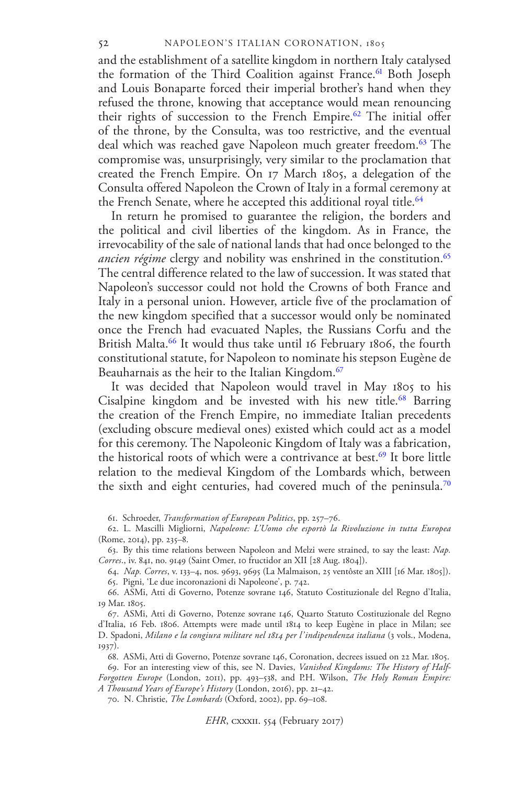and the establishment of a satellite kingdom in northern Italy catalysed the formation of the Third Coalition against France.<sup>[61](#page-11-0)</sup> Both Joseph and Louis Bonaparte forced their imperial brother's hand when they refused the throne, knowing that acceptance would mean renouncing their rights of succession to the French Empire.<sup>[62](#page-11-1)</sup> The initial offer of the throne, by the Consulta, was too restrictive, and the eventual deal which was reached gave Napoleon much greater freedom.<sup>[63](#page-11-2)</sup> The compromise was, unsurprisingly, very similar to the proclamation that created the French Empire. On 17 March 1805, a delegation of the Consulta offered Napoleon the Crown of Italy in a formal ceremony at the French Senate, where he accepted this additional royal title.<sup>[64](#page-11-3)</sup>

In return he promised to guarantee the religion, the borders and the political and civil liberties of the kingdom. As in France, the irrevocability of the sale of national lands that had once belonged to the *ancien régime* clergy and nobility was enshrined in the constitution.<sup>[65](#page-11-4)</sup> The central difference related to the law of succession. It was stated that Napoleon's successor could not hold the Crowns of both France and Italy in a personal union. However, article five of the proclamation of the new kingdom specified that a successor would only be nominated once the French had evacuated Naples, the Russians Corfu and the British Malta.<sup>[66](#page-11-5)</sup> It would thus take until 16 February 1806, the fourth constitutional statute, for Napoleon to nominate his stepson Eugène de Beauharnais as the heir to the Italian Kingdom.<sup>[67](#page-11-6)</sup>

It was decided that Napoleon would travel in May 1805 to his Cisalpine kingdom and be invested with his new title.<sup>[68](#page-11-7)</sup> Barring the creation of the French Empire, no immediate Italian precedents (excluding obscure medieval ones) existed which could act as a model for this ceremony. The Napoleonic Kingdom of Italy was a fabrication, the historical roots of which were a contrivance at best.<sup>[69](#page-11-8)</sup> It bore little relation to the medieval Kingdom of the Lombards which, between the sixth and eight centuries, had covered much of the peninsula.<sup>[70](#page-11-9)</sup>

61. Schroeder, *Transformation of European Politics*, pp. 257–76.

<span id="page-12-1"></span><span id="page-12-0"></span>62. L. Mascilli Migliorni, *Napoleone: L'Uomo che esportò la Rivoluzione in tutta Europea* (Rome, 2014), pp. 235–8.

<span id="page-12-3"></span><span id="page-12-2"></span>63. By this time relations between Napoleon and Melzi were strained, to say the least: *Nap. Corres*., iv. 841, no. 9149 (Saint Omer, 10 fructidor an XII [28 Aug. 1804]).

64. *Nap. Corres*, v. 133–4, nos. 9693, 9695 (La Malmaison, 25 ventôste an XIII [16 Mar. 1805]). 65. Pigni, 'Le due incoronazioni di Napoleone', p. 742.

66. ASMi, Atti di Governo, Potenze sovrane 146, Statuto Costituzionale del Regno d'Italia, 19 Mar. 1805.

<span id="page-12-5"></span><span id="page-12-4"></span>67. ASMi, Atti di Governo, Potenze sovrane 146, Quarto Statuto Costituzionale del Regno d'Italia, 16 Feb. 1806. Attempts were made until 1814 to keep Eugène in place in Milan; see D. Spadoni, *Milano e la congiura militare nel 1814 per l'indipendenza italiana* (3 vols., Modena, 1937).

68. ASMi, Atti di Governo, Potenze sovrane 146, Coronation, decrees issued on 22 Mar. 1805.

69. For an interesting view of this, see N. Davies, *Vanished Kingdoms: The History of Half-Forgotten Europe* (London, 2011), pp. 493–538, and P.H. Wilson, *The Holy Roman Empire: A Thousand Years of Europe's History* (London, 2016), pp. 21–42.

<span id="page-12-6"></span>70. N. Christie, *The Lombards* (Oxford, 2002), pp. 69–108.

*EHR*, cxxxii. 554 (February 2017)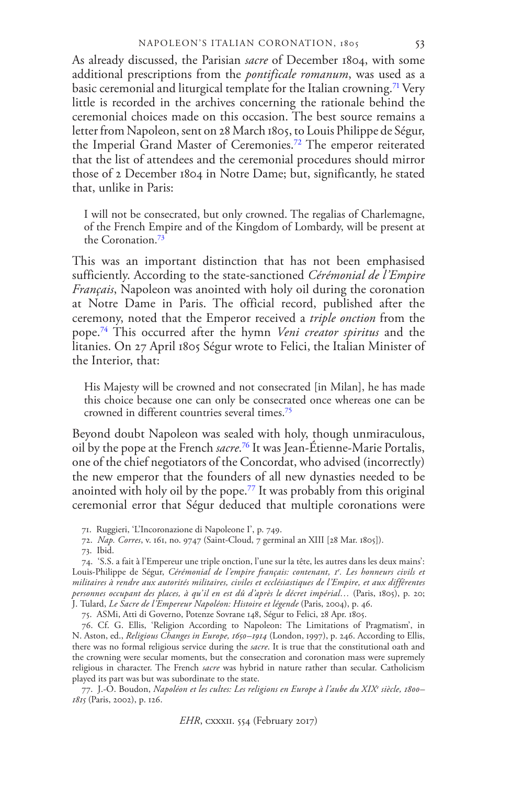As already discussed, the Parisian *sacre* of December 1804, with some additional prescriptions from the *pontificale romanum*, was used as a basic ceremonial and liturgical template for the Italian crowning.<sup>[71](#page-12-0)</sup> Very little is recorded in the archives concerning the rationale behind the ceremonial choices made on this occasion. The best source remains a letter from Napoleon, sent on 28 March 1805, to Louis Philippe de Ségur, the Imperial Grand Master of Ceremonies.[72](#page-12-1) The emperor reiterated that the list of attendees and the ceremonial procedures should mirror those of 2 December 1804 in Notre Dame; but, significantly, he stated that, unlike in Paris:

I will not be consecrated, but only crowned. The regalias of Charlemagne, of the French Empire and of the Kingdom of Lombardy, will be present at the Coronation.[73](#page-12-2)

This was an important distinction that has not been emphasised sufficiently. According to the state-sanctioned *Cérémonial de l'Empire Français*, Napoleon was anointed with holy oil during the coronation at Notre Dame in Paris. The official record, published after the ceremony, noted that the Emperor received a *triple onction* from the pope.[74](#page-12-3) This occurred after the hymn *Veni creator spiritus* and the litanies. On 27 April 1805 Ségur wrote to Felici, the Italian Minister of the Interior, that:

His Majesty will be crowned and not consecrated [in Milan], he has made this choice because one can only be consecrated once whereas one can be crowned in different countries several times.[75](#page-12-4)

Beyond doubt Napoleon was sealed with holy, though unmiraculous, oil by the pope at the French *sacre*. [76](#page-12-5) It was Jean-Étienne-Marie Portalis, one of the chief negotiators of the Concordat, who advised (incorrectly) the new emperor that the founders of all new dynasties needed to be anointed with holy oil by the pope.[77](#page-12-6) It was probably from this original ceremonial error that Ségur deduced that multiple coronations were

<span id="page-13-3"></span><span id="page-13-2"></span>75. ASMi, Atti di Governo, Potenze Sovrane 148, Ségur to Felici, 28 Apr. 1805.

76. Cf. G. Ellis, 'Religion According to Napoleon: The Limitations of Pragmatism', in N. Aston, ed., *Religious Changes in Europe, 1650–1914* (London, 1997), p. 246. According to Ellis, there was no formal religious service during the *sacre*. It is true that the constitutional oath and the crowning were secular moments, but the consecration and coronation mass were supremely religious in character. The French *sacre* was hybrid in nature rather than secular. Catholicism played its part was but was subordinate to the state.

77. J.-O. Boudon, *Napoléon et les cultes: Les religions en Europe à l'aube du XIX<sup>e</sup> siècle, 1800– 1815* (Paris, 2002), p. 126.

<sup>71.</sup> Ruggieri, 'L'Incoronazione di Napoleone I', p. 749.

<sup>72.</sup> *Nap. Corres*, v. 161, no. 9747 (Saint-Cloud, 7 germinal an XIII [28 Mar. 1805]).

<span id="page-13-1"></span><span id="page-13-0"></span><sup>73.</sup> Ibid.

<sup>74. &#</sup>x27;S.S. a fait à l'Empereur une triple onction, l'une sur la tête, les autres dans les deux mains': Louis-Philippe de Ségur, *Cérémonial de l'empire français: contenant, 1<sup>e</sup> . Les honneurs civils et militaires à rendre aux autorités militaires, civiles et ecclésiastiques de l'Empire, et aux différentes personnes occupant des places, à qu'il en est dû d'après le décret impérial…* (Paris, 1805), p. 20; J. Tulard, *Le Sacre de l'Empereur Napoléon: Histoire et légende* (Paris, 2004), p. 46.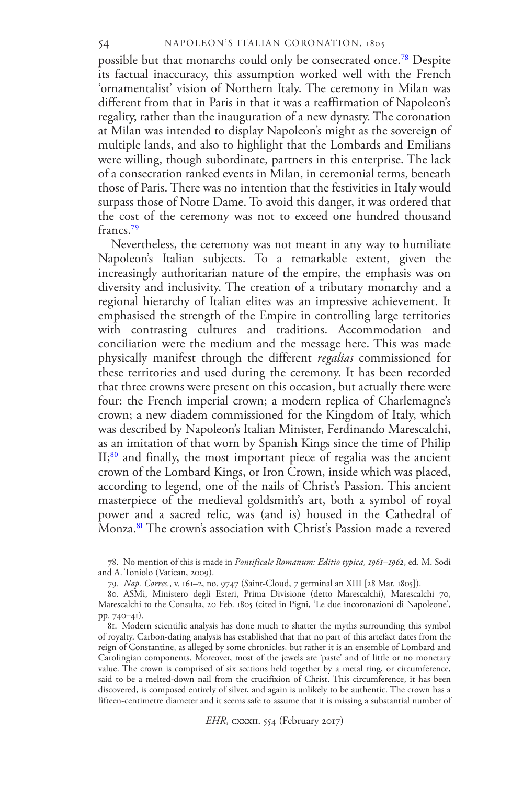possible but that monarchs could only be consecrated once.[78](#page-13-0) Despite its factual inaccuracy, this assumption worked well with the French 'ornamentalist' vision of Northern Italy. The ceremony in Milan was different from that in Paris in that it was a reaffirmation of Napoleon's regality, rather than the inauguration of a new dynasty. The coronation at Milan was intended to display Napoleon's might as the sovereign of multiple lands, and also to highlight that the Lombards and Emilians were willing, though subordinate, partners in this enterprise. The lack of a consecration ranked events in Milan, in ceremonial terms, beneath those of Paris. There was no intention that the festivities in Italy would surpass those of Notre Dame. To avoid this danger, it was ordered that the cost of the ceremony was not to exceed one hundred thousand francs.[79](#page-13-1)

Nevertheless, the ceremony was not meant in any way to humiliate Napoleon's Italian subjects. To a remarkable extent, given the increasingly authoritarian nature of the empire, the emphasis was on diversity and inclusivity. The creation of a tributary monarchy and a regional hierarchy of Italian elites was an impressive achievement. It emphasised the strength of the Empire in controlling large territories with contrasting cultures and traditions. Accommodation and conciliation were the medium and the message here. This was made physically manifest through the different *regalias* commissioned for these territories and used during the ceremony. It has been recorded that three crowns were present on this occasion, but actually there were four: the French imperial crown; a modern replica of Charlemagne's crown; a new diadem commissioned for the Kingdom of Italy, which was described by Napoleon's Italian Minister, Ferdinando Marescalchi, as an imitation of that worn by Spanish Kings since the time of Philip II;<sup>[80](#page-13-2)</sup> and finally, the most important piece of regalia was the ancient crown of the Lombard Kings, or Iron Crown, inside which was placed, according to legend, one of the nails of Christ's Passion. This ancient masterpiece of the medieval goldsmith's art, both a symbol of royal power and a sacred relic, was (and is) housed in the Cathedral of Monza.<sup>[81](#page-13-3)</sup> The crown's association with Christ's Passion made a revered

78. No mention of this is made in *Pontificale Romanum: Editio typica, 1961–1962*, ed. M. Sodi and A. Toniolo (Vatican, 2009).

<span id="page-14-0"></span>79. *Nap. Corres.*, v. 161–2, no. 9747 (Saint-Cloud, 7 germinal an XIII [28 Mar. 1805]).

<span id="page-14-1"></span>80. ASMi, Ministero degli Esteri, Prima Divisione (detto Marescalchi), Marescalchi 70, Marescalchi to the Consulta, 20 Feb. 1805 (cited in Pigni, 'Le due incoronazioni di Napoleone', pp. 740–41).

<span id="page-14-6"></span><span id="page-14-5"></span><span id="page-14-4"></span><span id="page-14-3"></span><span id="page-14-2"></span>81. Modern scientific analysis has done much to shatter the myths surrounding this symbol of royalty. Carbon-dating analysis has established that that no part of this artefact dates from the reign of Constantine, as alleged by some chronicles, but rather it is an ensemble of Lombard and Carolingian components. Moreover, most of the jewels are 'paste' and of little or no monetary value. The crown is comprised of six sections held together by a metal ring, or circumference, said to be a melted-down nail from the crucifixion of Christ. This circumference, it has been discovered, is composed entirely of silver, and again is unlikely to be authentic. The crown has a fifteen-centimetre diameter and it seems safe to assume that it is missing a substantial number of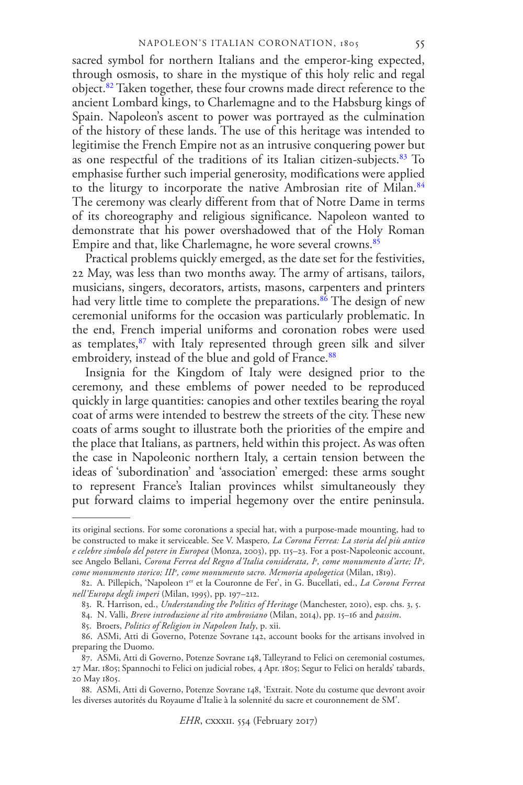sacred symbol for northern Italians and the emperor-king expected, through osmosis, to share in the mystique of this holy relic and regal object.[82](#page-14-0) Taken together, these four crowns made direct reference to the ancient Lombard kings, to Charlemagne and to the Habsburg kings of Spain. Napoleon's ascent to power was portrayed as the culmination of the history of these lands. The use of this heritage was intended to legitimise the French Empire not as an intrusive conquering power but as one respectful of the traditions of its Italian citizen-subjects.<sup>[83](#page-14-1)</sup> To emphasise further such imperial generosity, modifications were applied to the liturgy to incorporate the native Ambrosian rite of Milan.<sup>[84](#page-14-2)</sup> The ceremony was clearly different from that of Notre Dame in terms of its choreography and religious significance. Napoleon wanted to demonstrate that his power overshadowed that of the Holy Roman Empire and that, like Charlemagne, he wore several crowns.<sup>[85](#page-14-3)</sup>

Practical problems quickly emerged, as the date set for the festivities, 22 May, was less than two months away. The army of artisans, tailors, musicians, singers, decorators, artists, masons, carpenters and printers had very little time to complete the preparations.<sup>[86](#page-14-4)</sup> The design of new ceremonial uniforms for the occasion was particularly problematic. In the end, French imperial uniforms and coronation robes were used as templates,<sup>[87](#page-14-5)</sup> with Italy represented through green silk and silver embroidery, instead of the blue and gold of France.<sup>[88](#page-14-6)</sup>

Insignia for the Kingdom of Italy were designed prior to the ceremony, and these emblems of power needed to be reproduced quickly in large quantities: canopies and other textiles bearing the royal coat of arms were intended to bestrew the streets of the city. These new coats of arms sought to illustrate both the priorities of the empire and the place that Italians, as partners, held within this project. As was often the case in Napoleonic northern Italy, a certain tension between the ideas of 'subordination' and 'association' emerged: these arms sought to represent France's Italian provinces whilst simultaneously they put forward claims to imperial hegemony over the entire peninsula.

<span id="page-15-1"></span><span id="page-15-0"></span>its original sections. For some coronations a special hat, with a purpose-made mounting, had to be constructed to make it serviceable. See V. Maspero*, La Corona Ferrea: La storia del più antico e celebre simbolo del potere in Europea* (Monza, 2003), pp. 115–23. For a post-Napoleonic account, see Angelo Bellani, *Corona Ferrea del Regno d'Italia considerata, I<sup>o</sup> , come monumento d'arte; II<sup>o</sup> , come monumento storico; III<sup>o</sup> , come monumento sacro. Memoria apologetica* (Milan, 1819).

<span id="page-15-2"></span><sup>82.</sup> A. Pillepich, 'Napoleon I<sup>er</sup> et la Couronne de Fer', in G. Bucellati, ed., *La Corona Ferrea nell'Europa degli imperi* (Milan, 1995), pp. 197–212.

<span id="page-15-5"></span><span id="page-15-4"></span><span id="page-15-3"></span><sup>83.</sup> R. Harrison, ed., *Understanding the Politics of Heritage* (Manchester, 2010), esp. chs. 3, 5.

<sup>84.</sup> N. Valli, *Breve introduzione al rito ambrosiano* (Milan, 2014), pp. 15–16 and *passim*.

<span id="page-15-7"></span><span id="page-15-6"></span><sup>85.</sup> Broers, *Politics of Religion in Napoleon Italy*, p. xii.

<sup>86.</sup> ASMi, Atti di Governo, Potenze Sovrane 142, account books for the artisans involved in preparing the Duomo.

<span id="page-15-8"></span><sup>87.</sup> ASMi, Atti di Governo, Potenze Sovrane 148, Talleyrand to Felici on ceremonial costumes, 27 Mar. 1805; Spannochi to Felici on judicial robes, 4 Apr. 1805; Segur to Felici on heralds' tabards, 20 May 1805.

<span id="page-15-9"></span><sup>88.</sup> ASMi, Atti di Governo, Potenze Sovrane 148, 'Extrait. Note du costume que devront avoir les diverses autorités du Royaume d'Italie à la solennité du sacre et couronnement de SM'.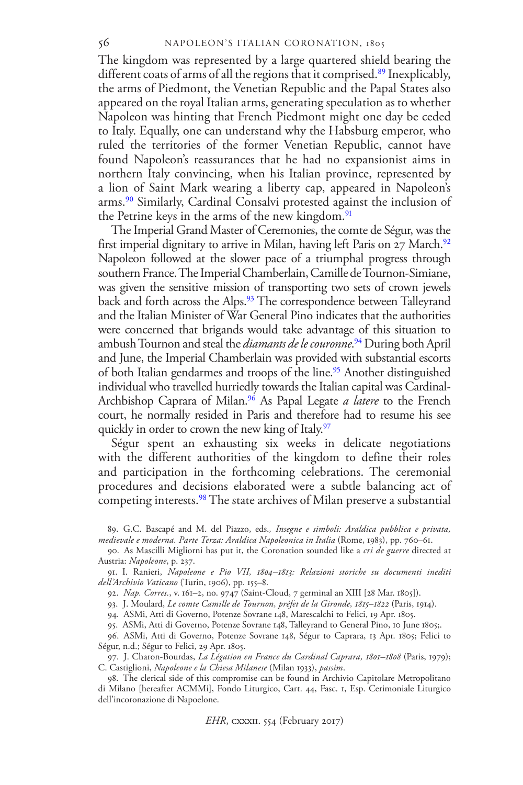The kingdom was represented by a large quartered shield bearing the different coats of arms of all the regions that it comprised.<sup>[89](#page-15-0)</sup> Inexplicably, the arms of Piedmont, the Venetian Republic and the Papal States also appeared on the royal Italian arms, generating speculation as to whether Napoleon was hinting that French Piedmont might one day be ceded to Italy. Equally, one can understand why the Habsburg emperor, who ruled the territories of the former Venetian Republic, cannot have found Napoleon's reassurances that he had no expansionist aims in northern Italy convincing, when his Italian province, represented by a lion of Saint Mark wearing a liberty cap, appeared in Napoleon's arms.[90](#page-15-1) Similarly, Cardinal Consalvi protested against the inclusion of the Petrine keys in the arms of the new kingdom.<sup>[91](#page-15-2)</sup>

The Imperial Grand Master of Ceremonies, the comte de Ségur, was the first imperial dignitary to arrive in Milan, having left Paris on 27 March.<sup>[92](#page-15-3)</sup> Napoleon followed at the slower pace of a triumphal progress through southern France. The Imperial Chamberlain, Camille de Tournon-Simiane, was given the sensitive mission of transporting two sets of crown jewels back and forth across the Alps.<sup>[93](#page-15-4)</sup> The correspondence between Talleyrand and the Italian Minister of War General Pino indicates that the authorities were concerned that brigands would take advantage of this situation to ambush Tournon and steal the *diamants de le couronne*. [94](#page-15-5) During both April and June, the Imperial Chamberlain was provided with substantial escorts of both Italian gendarmes and troops of the line.<sup>[95](#page-15-6)</sup> Another distinguished individual who travelled hurriedly towards the Italian capital was Cardinal-Archbishop Caprara of Milan.<sup>[96](#page-15-7)</sup> As Papal Legate *a latere* to the French court, he normally resided in Paris and therefore had to resume his see quickly in order to crown the new king of Italy.<sup>[97](#page-15-8)</sup>

Ségur spent an exhausting six weeks in delicate negotiations with the different authorities of the kingdom to define their roles and participation in the forthcoming celebrations. The ceremonial procedures and decisions elaborated were a subtle balancing act of competing interests.<sup>[98](#page-15-9)</sup> The state archives of Milan preserve a substantial

89. G.C. Bascapé and M. del Piazzo, eds.*, Insegne e simboli: Araldica pubblica e privata, medievale e moderna. Parte Terza: Araldica Napoleonica in Italia* (Rome, 1983), pp. 760–61.

91. I. Ranieri, *Napoleone e Pio VII, 1804–1813: Relazioni storiche su documenti inediti dell'Archivio Vaticano* (Turin, 1906), pp. 155–8.

92. *Nap. Corres.*, v. 161–2, no. 9747 (Saint-Cloud, 7 germinal an XIII [28 Mar. 1805]).

93. J. Moulard, *Le comte Camille de Tournon, préfet de la Gironde, 1815–1822* (Paris, 1914).

94. ASMi, Atti di Governo, Potenze Sovrane 148, Marescalchi to Felici, 19 Apr. 1805.

95. ASMi, Atti di Governo, Potenze Sovrane 148, Talleyrand to General Pino, 10 June 1805;.

<span id="page-16-1"></span><span id="page-16-0"></span>96. ASMi, Atti di Governo, Potenze Sovrane 148, Ségur to Caprara, 13 Apr. 1805; Felici to Ségur, n.d.; Ségur to Felici, 29 Apr. 1805.

<span id="page-16-2"></span>97. J. Charon-Bourdas, *La Légation en France du Cardinal Caprara, 1801–1808* (Paris, 1979); C. Castiglioni, *Napoleone e la Chiesa Milanese* (Milan 1933), *passim*.

<span id="page-16-3"></span>98. The clerical side of this compromise can be found in Archivio Capitolare Metropolitano di Milano [hereafter ACMMi], Fondo Liturgico, Cart. 44, Fasc. 1, Esp. Cerimoniale Liturgico dell'incoronazione di Napoelone.

*EHR*, cxxxii. 554 (February 2017)

<sup>90.</sup> As Mascilli Migliorni has put it, the Coronation sounded like a *cri de guerre* directed at Austria: *Napoleone*, p. 237.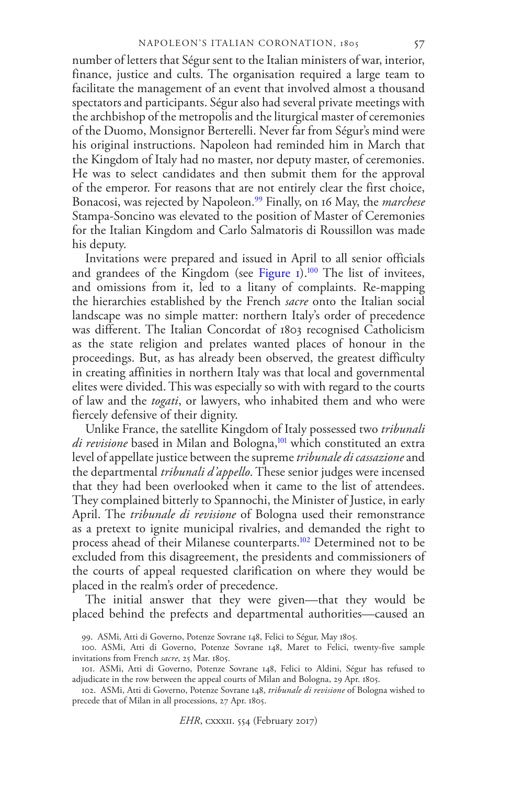number of letters that Ségur sent to the Italian ministers of war, interior, finance, justice and cults. The organisation required a large team to facilitate the management of an event that involved almost a thousand spectators and participants. Ségur also had several private meetings with the archbishop of the metropolis and the liturgical master of ceremonies of the Duomo, Monsignor Berterelli. Never far from Ségur's mind were his original instructions. Napoleon had reminded him in March that the Kingdom of Italy had no master, nor deputy master, of ceremonies. He was to select candidates and then submit them for the approval of the emperor. For reasons that are not entirely clear the first choice, Bonacosi, was rejected by Napoleon.[99](#page-16-0) Finally, on 16 May, the *marchese* Stampa-Soncino was elevated to the position of Master of Ceremonies for the Italian Kingdom and Carlo Salmatoris di Roussillon was made his deputy.

<span id="page-17-0"></span>Invitations were prepared and issued in April to all senior officials and grandees of the Kingdom (see Figure  $1$ ).<sup>[100](#page-16-1)</sup> The list of invitees, and omissions from it, led to a litany of complaints. Re-mapping the hierarchies established by the French *sacre* onto the Italian social landscape was no simple matter: northern Italy's order of precedence was different. The Italian Concordat of 1803 recognised Catholicism as the state religion and prelates wanted places of honour in the proceedings. But, as has already been observed, the greatest difficulty in creating affinities in northern Italy was that local and governmental elites were divided. This was especially so with with regard to the courts of law and the *togati*, or lawyers, who inhabited them and who were fiercely defensive of their dignity.

Unlike France, the satellite Kingdom of Italy possessed two *tribunali di revisione* based in Milan and Bologna,<sup>[101](#page-16-2)</sup> which constituted an extra level of appellate justice between the supreme *tribunale di cassazione* and the departmental *tribunali d'appello*. These senior judges were incensed that they had been overlooked when it came to the list of attendees. They complained bitterly to Spannochi, the Minister of Justice, in early April. The *tribunale di revisione* of Bologna used their remonstrance as a pretext to ignite municipal rivalries, and demanded the right to process ahead of their Milanese counterparts.[102](#page-16-3) Determined not to be excluded from this disagreement, the presidents and commissioners of the courts of appeal requested clarification on where they would be placed in the realm's order of precedence.

The initial answer that they were given—that they would be placed behind the prefects and departmental authorities—caused an

<sup>99.</sup> ASMi, Atti di Governo, Potenze Sovrane 148, Felici to Ségur, May 1805.

<sup>100.</sup> ASMi, Atti di Governo, Potenze Sovrane 148, Maret to Felici, twenty-five sample invitations from French *sacre*, 25 Mar. 1805.

<span id="page-17-1"></span><sup>101.</sup> ASMi, Atti di Governo, Potenze Sovrane 148, Felici to Aldini, Ségur has refused to adjudicate in the row between the appeal courts of Milan and Bologna, 29 Apr. 1805.

<sup>102.</sup> ASMi, Atti di Governo, Potenze Sovrane 148, *tribunale di revisione* of Bologna wished to precede that of Milan in all processions, 27 Apr. 1805.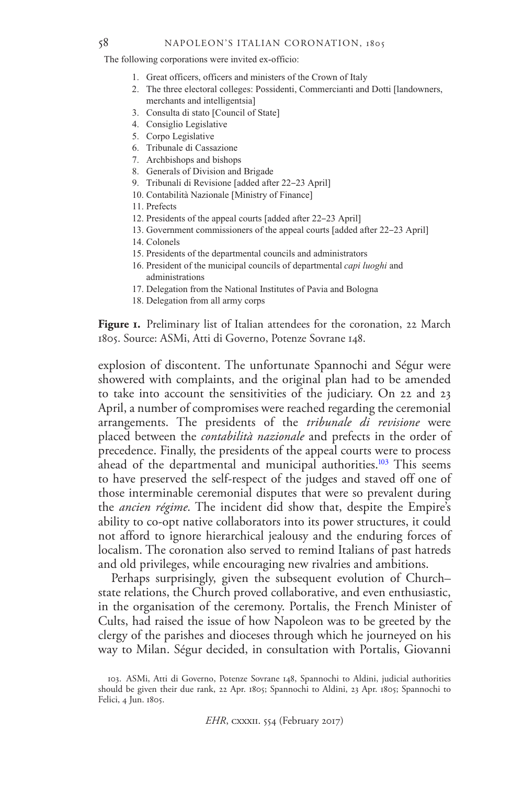#### NAPOLEON'S ITALIAN CORONATION, 1805

The following corporations were invited ex-officio:

- 1. Great officers, officers and ministers of the Crown of Italy
- 2. The three electoral colleges: Possidenti, Commercianti and Dotti [landowners, merchants and intelligentsia]
- 3. Consulta di stato [Council of State]
- 4. Consiglio Legislative
- 5. Corpo Legislative
- 6. Tribunale di Cassazione
- 7. Archbishops and bishops
- 8. Generals of Division and Brigade
- 9. Tribunali di Revisione [added after 22–23 April]
- 10. Contabilità Nazionale [Ministry of Finance]
- 11. Prefects
- 12. Presidents of the appeal courts [added after 22–23 April]
- 13. Government commissioners of the appeal courts [added after 22–23 April]
- 14. Colonels
- 15. Presidents of the departmental councils and administrators
- 16. President of the municipal councils of departmental *capi luoghi* and administrations
- 17. Delegation from the National Institutes of Pavia and Bologna
- 18. Delegation from all army corps

Figure 1. Preliminary list of Italian attendees for the coronation, 22 March 1805. Source: ASMi, Atti di Governo, Potenze Sovrane 148.

explosion of discontent. The unfortunate Spannochi and Ségur were showered with complaints, and the original plan had to be amended to take into account the sensitivities of the judiciary. On 22 and 23 April, a number of compromises were reached regarding the ceremonial arrangements. The presidents of the *tribunale di revisione* were placed between the *contabilità nazionale* and prefects in the order of precedence. Finally, the presidents of the appeal courts were to process ahead of the departmental and municipal authorities.<sup>[103](#page-17-1)</sup> This seems to have preserved the self-respect of the judges and staved off one of those interminable ceremonial disputes that were so prevalent during the *ancien régime*. The incident did show that, despite the Empire's ability to co-opt native collaborators into its power structures, it could not afford to ignore hierarchical jealousy and the enduring forces of localism. The coronation also served to remind Italians of past hatreds and old privileges, while encouraging new rivalries and ambitions.

<span id="page-18-3"></span><span id="page-18-2"></span><span id="page-18-1"></span><span id="page-18-0"></span>Perhaps surprisingly, given the subsequent evolution of Church– state relations, the Church proved collaborative, and even enthusiastic, in the organisation of the ceremony. Portalis, the French Minister of Cults, had raised the issue of how Napoleon was to be greeted by the clergy of the parishes and dioceses through which he journeyed on his way to Milan. Ségur decided, in consultation with Portalis, Giovanni

*EHR*, cxxxii. 554 (February 2017)

<span id="page-18-6"></span><span id="page-18-5"></span><span id="page-18-4"></span><sup>103.</sup> ASMi, Atti di Governo, Potenze Sovrane 148, Spannochi to Aldini, judicial authorities should be given their due rank, 22 Apr. 1805; Spannochi to Aldini, 23 Apr. 1805; Spannochi to Felici, 4 Jun. 1805.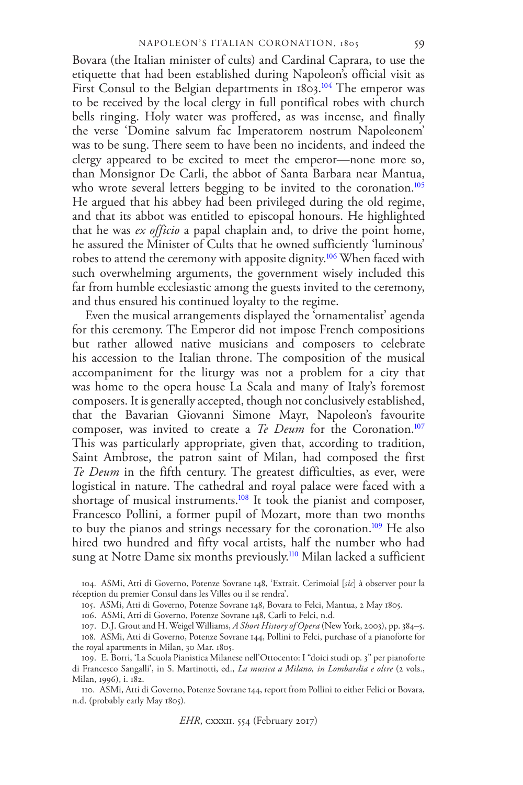Bovara (the Italian minister of cults) and Cardinal Caprara, to use the etiquette that had been established during Napoleon's official visit as First Consul to the Belgian departments in 1803.<sup>[104](#page-18-0)</sup> The emperor was to be received by the local clergy in full pontifical robes with church bells ringing. Holy water was proffered, as was incense, and finally the verse 'Domine salvum fac Imperatorem nostrum Napoleonem' was to be sung. There seem to have been no incidents, and indeed the clergy appeared to be excited to meet the emperor—none more so, than Monsignor De Carli, the abbot of Santa Barbara near Mantua, who wrote several letters begging to be invited to the coronation.<sup>[105](#page-18-1)</sup> He argued that his abbey had been privileged during the old regime, and that its abbot was entitled to episcopal honours. He highlighted that he was *ex officio* a papal chaplain and, to drive the point home, he assured the Minister of Cults that he owned sufficiently 'luminous' robes to attend the ceremony with apposite dignity.[106](#page-18-2) When faced with such overwhelming arguments, the government wisely included this far from humble ecclesiastic among the guests invited to the ceremony, and thus ensured his continued loyalty to the regime.

Even the musical arrangements displayed the 'ornamentalist' agenda for this ceremony. The Emperor did not impose French compositions but rather allowed native musicians and composers to celebrate his accession to the Italian throne. The composition of the musical accompaniment for the liturgy was not a problem for a city that was home to the opera house La Scala and many of Italy's foremost composers. It is generally accepted, though not conclusively established, that the Bavarian Giovanni Simone Mayr, Napoleon's favourite composer, was invited to create a *Te Deum* for the Coronation.<sup>[107](#page-18-3)</sup> This was particularly appropriate, given that, according to tradition, Saint Ambrose, the patron saint of Milan, had composed the first *Te Deum* in the fifth century. The greatest difficulties, as ever, were logistical in nature. The cathedral and royal palace were faced with a shortage of musical instruments.<sup>[108](#page-18-4)</sup> It took the pianist and composer, Francesco Pollini, a former pupil of Mozart, more than two months to buy the pianos and strings necessary for the coronation.<sup>[109](#page-18-5)</sup> He also hired two hundred and fifty vocal artists, half the number who had sung at Notre Dame six months previously.<sup>[110](#page-18-6)</sup> Milan lacked a sufficient

104. ASMi, Atti di Governo, Potenze Sovrane 148, 'Extrait. Cerimoial [*sic*] à observer pour la réception du premier Consul dans les Villes ou il se rendra'.

<span id="page-19-1"></span><span id="page-19-0"></span>105. ASMi, Atti di Governo, Potenze Sovrane 148, Bovara to Felci, Mantua, 2 May 1805.

106. ASMi, Atti di Governo, Potenze Sovrane 148, Carli to Felci, n.d.

<span id="page-19-4"></span><span id="page-19-3"></span><span id="page-19-2"></span>107. D.J. Grout and H. Weigel Williams, *A Short History of Opera* (New York, 2003), pp. 384–5.

108. ASMi, Atti di Governo, Potenze Sovrane 144, Pollini to Felci, purchase of a pianoforte for the royal apartments in Milan, 30 Mar. 1805.

<span id="page-19-5"></span>109. E. Borri, 'La Scuola Pianistica Milanese nell'Ottocento: I "doici studi op. 3" per pianoforte di Francesco Sangalli', in S. Martinotti, ed., *La musica a Milano, in Lombardia e oltre* (2 vols., Milan, 1996), i. 182.

<span id="page-19-6"></span>110. ASMi, Atti di Governo, Potenze Sovrane 144, report from Pollini to either Felici or Bovara, n.d. (probably early May 1805).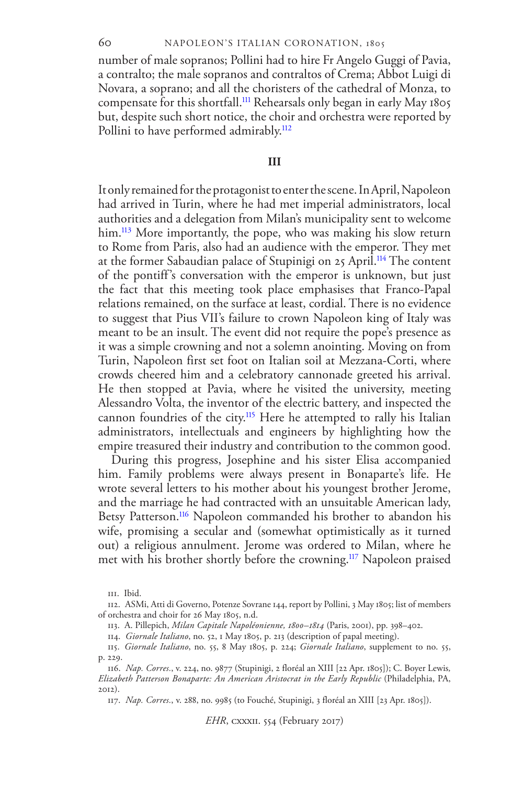#### NAPOLEON'S ITALIAN CORONATION, 1805

number of male sopranos; Pollini had to hire Fr Angelo Guggi of Pavia, a contralto; the male sopranos and contraltos of Crema; Abbot Luigi di Novara, a soprano; and all the choristers of the cathedral of Monza, to compensate for this shortfall.<sup>[111](#page-19-0)</sup> Rehearsals only began in early May 1805 but, despite such short notice, the choir and orchestra were reported by Pollini to have performed admirably.<sup>[112](#page-19-1)</sup>

#### **III**

It only remained for the protagonist to enter the scene. In April, Napoleon had arrived in Turin, where he had met imperial administrators, local authorities and a delegation from Milan's municipality sent to welcome him.<sup>[113](#page-19-2)</sup> More importantly, the pope, who was making his slow return to Rome from Paris, also had an audience with the emperor. They met at the former Sabaudian palace of Stupinigi on 25 April.<sup>[114](#page-19-3)</sup> The content of the pontiff's conversation with the emperor is unknown, but just the fact that this meeting took place emphasises that Franco-Papal relations remained, on the surface at least, cordial. There is no evidence to suggest that Pius VII's failure to crown Napoleon king of Italy was meant to be an insult. The event did not require the pope's presence as it was a simple crowning and not a solemn anointing. Moving on from Turin, Napoleon first set foot on Italian soil at Mezzana-Corti, where crowds cheered him and a celebratory cannonade greeted his arrival. He then stopped at Pavia, where he visited the university, meeting Alessandro Volta, the inventor of the electric battery, and inspected the cannon foundries of the city.<sup>[115](#page-19-4)</sup> Here he attempted to rally his Italian administrators, intellectuals and engineers by highlighting how the empire treasured their industry and contribution to the common good.

During this progress, Josephine and his sister Elisa accompanied him. Family problems were always present in Bonaparte's life. He wrote several letters to his mother about his youngest brother Jerome, and the marriage he had contracted with an unsuitable American lady, Betsy Patterson.<sup>[116](#page-19-5)</sup> Napoleon commanded his brother to abandon his wife, promising a secular and (somewhat optimistically as it turned out) a religious annulment. Jerome was ordered to Milan, where he met with his brother shortly before the crowning.<sup>[117](#page-19-6)</sup> Napoleon praised

*EHR*, cxxxii. 554 (February 2017)

<sup>111.</sup> Ibid.

<span id="page-20-0"></span><sup>112.</sup> ASMi, Atti di Governo, Potenze Sovrane 144, report by Pollini, 3 May 1805; list of members of orchestra and choir for 26 May 1805, n.d.

<sup>113.</sup> A. Pillepich, *Milan Capitale Napoléonienne, 1800–1814* (Paris, 2001), pp. 398–402.

<span id="page-20-1"></span><sup>114.</sup> *Giornale Italiano*, no. 52, 1 May 1805, p. 213 (description of papal meeting).

<span id="page-20-2"></span><sup>115.</sup> *Giornale Italiano*, no. 55, 8 May 1805, p. 224; *Giornale Italiano*, supplement to no. 55, p. 229.

<span id="page-20-4"></span><span id="page-20-3"></span><sup>116.</sup> *Nap. Corres.*, v. 224, no. 9877 (Stupinigi, 2 floréal an XIII [22 Apr. 1805]); C. Boyer Lewis*, Elizabeth Patterson Bonaparte: An American Aristocrat in the Early Republic* (Philadelphia, PA,  $2012$ 

<span id="page-20-5"></span><sup>117.</sup> *Nap. Corres.*, v. 288, no. 9985 (to Fouché, Stupinigi, 3 floréal an XIII [23 Apr. 1805]).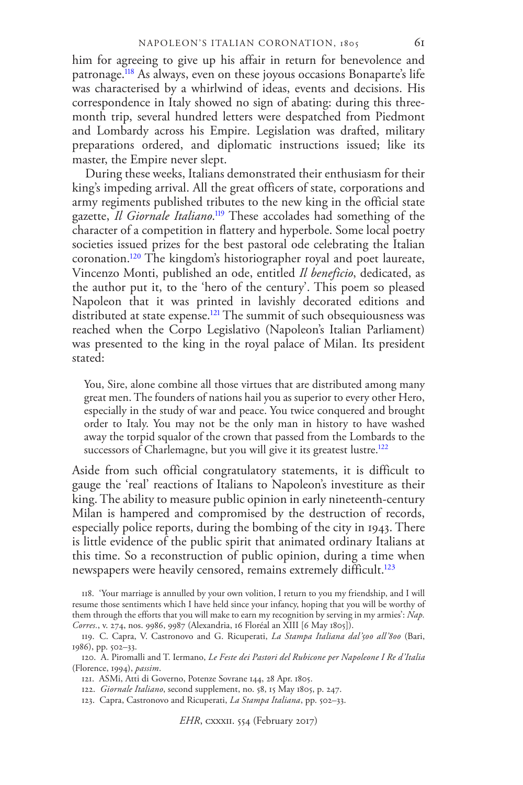him for agreeing to give up his affair in return for benevolence and patronage.[118](#page-20-0) As always, even on these joyous occasions Bonaparte's life was characterised by a whirlwind of ideas, events and decisions. His correspondence in Italy showed no sign of abating: during this threemonth trip, several hundred letters were despatched from Piedmont and Lombardy across his Empire. Legislation was drafted, military preparations ordered, and diplomatic instructions issued; like its master, the Empire never slept.

During these weeks, Italians demonstrated their enthusiasm for their king's impeding arrival. All the great officers of state, corporations and army regiments published tributes to the new king in the official state gazette, *Il Giornale Italiano*. [119](#page-20-1) These accolades had something of the character of a competition in flattery and hyperbole. Some local poetry societies issued prizes for the best pastoral ode celebrating the Italian coronation.[120](#page-20-2) The kingdom's historiographer royal and poet laureate, Vincenzo Monti, published an ode, entitled *Il beneficio*, dedicated, as the author put it, to the 'hero of the century'. This poem so pleased Napoleon that it was printed in lavishly decorated editions and distributed at state expense.<sup>[121](#page-20-3)</sup> The summit of such obsequiousness was reached when the Corpo Legislativo (Napoleon's Italian Parliament) was presented to the king in the royal palace of Milan. Its president stated:

You, Sire, alone combine all those virtues that are distributed among many great men. The founders of nations hail you as superior to every other Hero, especially in the study of war and peace. You twice conquered and brought order to Italy. You may not be the only man in history to have washed away the torpid squalor of the crown that passed from the Lombards to the successors of Charlemagne, but you will give it its greatest lustre.<sup>[122](#page-20-4)</sup>

Aside from such official congratulatory statements, it is difficult to gauge the 'real' reactions of Italians to Napoleon's investiture as their king. The ability to measure public opinion in early nineteenth-century Milan is hampered and compromised by the destruction of records, especially police reports, during the bombing of the city in 1943. There is little evidence of the public spirit that animated ordinary Italians at this time. So a reconstruction of public opinion, during a time when newspapers were heavily censored, remains extremely difficult.<sup>[123](#page-20-5)</sup>

<span id="page-21-1"></span><span id="page-21-0"></span><sup>118. &#</sup>x27;Your marriage is annulled by your own volition, I return to you my friendship, and I will resume those sentiments which I have held since your infancy, hoping that you will be worthy of them through the efforts that you will make to earn my recognition by serving in my armies': *Nap. Corres.*, v. 274, nos. 9986, 9987 (Alexandria, 16 Floréal an XIII [6 May 1805]).

<span id="page-21-2"></span><sup>119.</sup> C. Capra, V. Castronovo and G. Ricuperati, *La Stampa Italiana dal'500 all'800* (Bari, 1986), pp. 502–33.

<sup>120.</sup> A. Piromalli and T. Iermano, *Le Feste dei Pastori del Rubicone per Napoleone I Re d'Italia* (Florence, 1994), *passim*.

<span id="page-21-3"></span><sup>121.</sup> ASMi, Atti di Governo, Potenze Sovrane 144, 28 Apr. 1805.

<span id="page-21-4"></span><sup>122.</sup> *Giornale Italiano*, second supplement, no. 58, 15 May 1805, p. 247.

<span id="page-21-5"></span><sup>123.</sup> Capra, Castronovo and Ricuperati, *La Stampa Italiana*, pp. 502–33.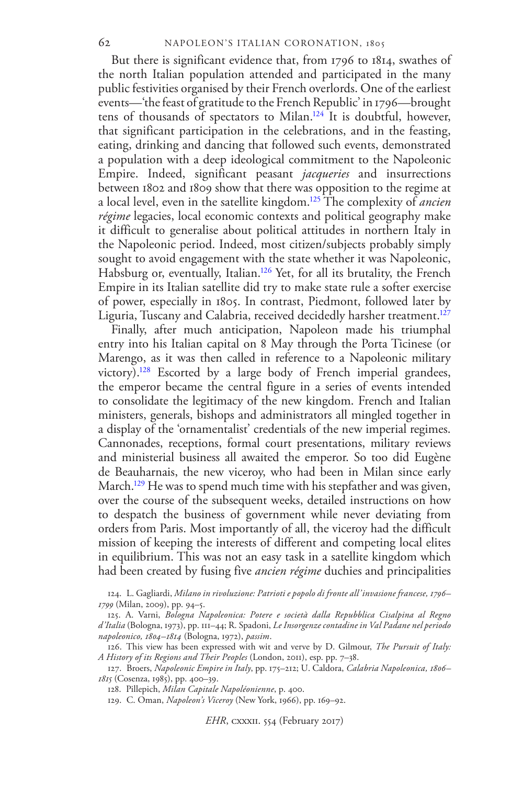But there is significant evidence that, from 1796 to 1814, swathes of the north Italian population attended and participated in the many public festivities organised by their French overlords. One of the earliest events—'the feast of gratitude to the French Republic' in 1796—brought tens of thousands of spectators to Milan.[124](#page-21-0) It is doubtful, however, that significant participation in the celebrations, and in the feasting, eating, drinking and dancing that followed such events, demonstrated a population with a deep ideological commitment to the Napoleonic Empire. Indeed, significant peasant *jacqueries* and insurrections between 1802 and 1809 show that there was opposition to the regime at a local level, even in the satellite kingdom.[125](#page-21-1) The complexity of *ancien régime* legacies, local economic contexts and political geography make it difficult to generalise about political attitudes in northern Italy in the Napoleonic period. Indeed, most citizen/subjects probably simply sought to avoid engagement with the state whether it was Napoleonic, Habsburg or, eventually, Italian.<sup>[126](#page-21-2)</sup> Yet, for all its brutality, the French Empire in its Italian satellite did try to make state rule a softer exercise of power, especially in 1805. In contrast, Piedmont, followed later by Liguria, Tuscany and Calabria, received decidedly harsher treatment.<sup>[127](#page-21-3)</sup>

Finally, after much anticipation, Napoleon made his triumphal entry into his Italian capital on 8 May through the Porta Ticinese (or Marengo, as it was then called in reference to a Napoleonic military victory).[128](#page-21-4) Escorted by a large body of French imperial grandees, the emperor became the central figure in a series of events intended to consolidate the legitimacy of the new kingdom. French and Italian ministers, generals, bishops and administrators all mingled together in a display of the 'ornamentalist' credentials of the new imperial regimes. Cannonades, receptions, formal court presentations, military reviews and ministerial business all awaited the emperor. So too did Eugène de Beauharnais, the new viceroy, who had been in Milan since early March.<sup>[129](#page-21-5)</sup> He was to spend much time with his stepfather and was given, over the course of the subsequent weeks, detailed instructions on how to despatch the business of government while never deviating from orders from Paris. Most importantly of all, the viceroy had the difficult mission of keeping the interests of different and competing local elites in equilibrium. This was not an easy task in a satellite kingdom which had been created by fusing five *ancien régime* duchies and principalities

124. L. Gagliardi, *Milano in rivoluzione: Patrioti e popolo di fronte all'invasione francese, 1796– 1799* (Milan, 2009), pp. 94–5.

*EHR*, cxxxii. 554 (February 2017)

<sup>125.</sup> A. Varni, *Bologna Napoleonica: Potere e società dalla Repubblica Cisalpina al Regno d'Italia* (Bologna, 1973), pp. 111–44; R. Spadoni, *Le Insorgenze contadine in Val Padane nel periodo napoleonico, 1804–1814* (Bologna, 1972), *passim*.

<sup>126.</sup> This view has been expressed with wit and verve by D. Gilmour, *The Pursuit of Italy: A History of its Regions and Their Peoples* (London, 2011), esp. pp. 7–38.

<span id="page-22-1"></span><span id="page-22-0"></span><sup>127.</sup> Broers, *Napoleonic Empire in Italy*, pp. 175–212; U. Caldora, *Calabria Napoleonica, 1806– 1815* (Cosenza, 1985), pp. 400–39.

<span id="page-22-2"></span><sup>128.</sup> Pillepich, *Milan Capitale Napoléonienne*, p. 400.

<span id="page-22-3"></span><sup>129.</sup> C. Oman, *Napoleon's Viceroy* (New York, 1966), pp. 169–92.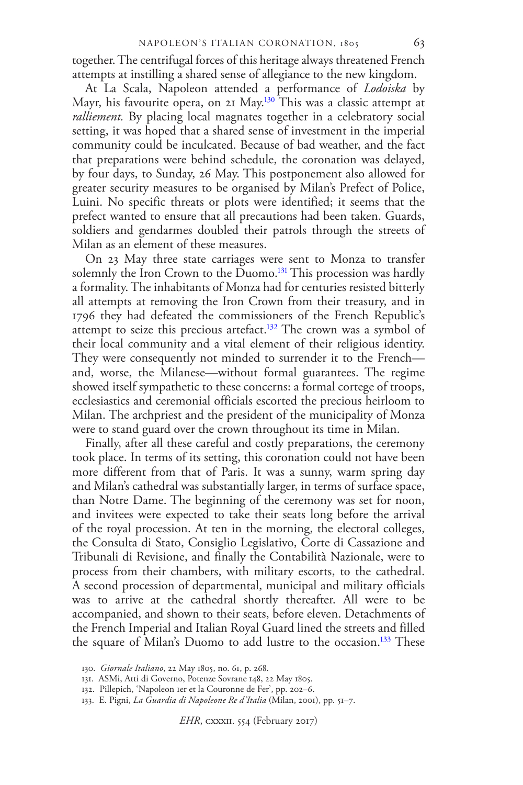together. The centrifugal forces of this heritage always threatened French attempts at instilling a shared sense of allegiance to the new kingdom.

At La Scala, Napoleon attended a performance of *Lodoiska* by Mayr, his favourite opera, on 21 May.<sup>[130](#page-22-0)</sup> This was a classic attempt at *ralliement.* By placing local magnates together in a celebratory social setting, it was hoped that a shared sense of investment in the imperial community could be inculcated. Because of bad weather, and the fact that preparations were behind schedule, the coronation was delayed, by four days, to Sunday, 26 May. This postponement also allowed for greater security measures to be organised by Milan's Prefect of Police, Luini. No specific threats or plots were identified; it seems that the prefect wanted to ensure that all precautions had been taken. Guards, soldiers and gendarmes doubled their patrols through the streets of Milan as an element of these measures.

On 23 May three state carriages were sent to Monza to transfer solemnly the Iron Crown to the Duomo.<sup>[131](#page-22-1)</sup> This procession was hardly a formality. The inhabitants of Monza had for centuries resisted bitterly all attempts at removing the Iron Crown from their treasury, and in 1796 they had defeated the commissioners of the French Republic's attempt to seize this precious artefact.<sup>[132](#page-22-2)</sup> The crown was a symbol of their local community and a vital element of their religious identity. They were consequently not minded to surrender it to the French and, worse, the Milanese—without formal guarantees. The regime showed itself sympathetic to these concerns: a formal cortege of troops, ecclesiastics and ceremonial officials escorted the precious heirloom to Milan. The archpriest and the president of the municipality of Monza were to stand guard over the crown throughout its time in Milan.

Finally, after all these careful and costly preparations, the ceremony took place. In terms of its setting, this coronation could not have been more different from that of Paris. It was a sunny, warm spring day and Milan's cathedral was substantially larger, in terms of surface space, than Notre Dame. The beginning of the ceremony was set for noon, and invitees were expected to take their seats long before the arrival of the royal procession. At ten in the morning, the electoral colleges, the Consulta di Stato, Consiglio Legislativo, Corte di Cassazione and Tribunali di Revisione, and finally the Contabilità Nazionale, were to process from their chambers, with military escorts, to the cathedral. A second procession of departmental, municipal and military officials was to arrive at the cathedral shortly thereafter. All were to be accompanied, and shown to their seats, before eleven. Detachments of the French Imperial and Italian Royal Guard lined the streets and filled the square of Milan's Duomo to add lustre to the occasion.<sup>[133](#page-22-3)</sup> These

<span id="page-23-1"></span><span id="page-23-0"></span><sup>130.</sup> *Giornale Italiano*, 22 May 1805, no. 61, p. 268.

<sup>131.</sup> ASMi, Atti di Governo, Potenze Sovrane 148, 22 May 1805.

<sup>132.</sup> Pillepich, 'Napoleon 1er et la Couronne de Fer', pp. 202–6.

<span id="page-23-2"></span><sup>133.</sup> E. Pigni, *La Guardia di Napoleone Re d'Italia* (Milan, 2001), pp. 51–7.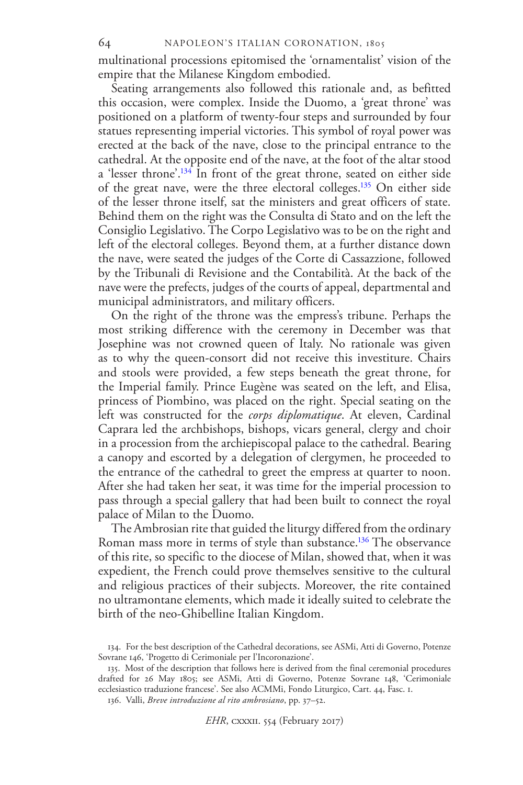multinational processions epitomised the 'ornamentalist' vision of the empire that the Milanese Kingdom embodied.

Seating arrangements also followed this rationale and, as befitted this occasion, were complex. Inside the Duomo, a 'great throne' was positioned on a platform of twenty-four steps and surrounded by four statues representing imperial victories. This symbol of royal power was erected at the back of the nave, close to the principal entrance to the cathedral. At the opposite end of the nave, at the foot of the altar stood a 'lesser throne'.<sup>[134](#page-23-0)</sup> In front of the great throne, seated on either side of the great nave, were the three electoral colleges.[135](#page-23-1) On either side of the lesser throne itself, sat the ministers and great officers of state. Behind them on the right was the Consulta di Stato and on the left the Consiglio Legislativo. The Corpo Legislativo was to be on the right and left of the electoral colleges. Beyond them, at a further distance down the nave, were seated the judges of the Corte di Cassazzione, followed by the Tribunali di Revisione and the Contabilità. At the back of the nave were the prefects, judges of the courts of appeal, departmental and municipal administrators, and military officers.

On the right of the throne was the empress's tribune. Perhaps the most striking difference with the ceremony in December was that Josephine was not crowned queen of Italy. No rationale was given as to why the queen-consort did not receive this investiture. Chairs and stools were provided, a few steps beneath the great throne, for the Imperial family. Prince Eugène was seated on the left, and Elisa, princess of Piombino, was placed on the right. Special seating on the left was constructed for the *corps diplomatique*. At eleven, Cardinal Caprara led the archbishops, bishops, vicars general, clergy and choir in a procession from the archiepiscopal palace to the cathedral. Bearing a canopy and escorted by a delegation of clergymen, he proceeded to the entrance of the cathedral to greet the empress at quarter to noon. After she had taken her seat, it was time for the imperial procession to pass through a special gallery that had been built to connect the royal palace of Milan to the Duomo.

The Ambrosian rite that guided the liturgy differed from the ordinary Roman mass more in terms of style than substance.<sup>[136](#page-23-2)</sup> The observance of this rite, so specific to the diocese of Milan, showed that, when it was expedient, the French could prove themselves sensitive to the cultural and religious practices of their subjects. Moreover, the rite contained no ultramontane elements, which made it ideally suited to celebrate the birth of the neo-Ghibelline Italian Kingdom.

136. Valli, *Breve introduzione al rito ambrosiano*, pp. 37–52.

<span id="page-24-0"></span><sup>134.</sup> For the best description of the Cathedral decorations, see ASMi, Atti di Governo, Potenze Sovrane 146, 'Progetto di Cerimoniale per l'Incoronazione'.

<span id="page-24-2"></span><span id="page-24-1"></span><sup>135.</sup> Most of the description that follows here is derived from the final ceremonial procedures drafted for 26 May 1805; see ASMi, Atti di Governo, Potenze Sovrane 148, 'Cerimoniale ecclesiastico traduzione francese'. See also ACMMi, Fondo Liturgico, Cart. 44, Fasc. 1.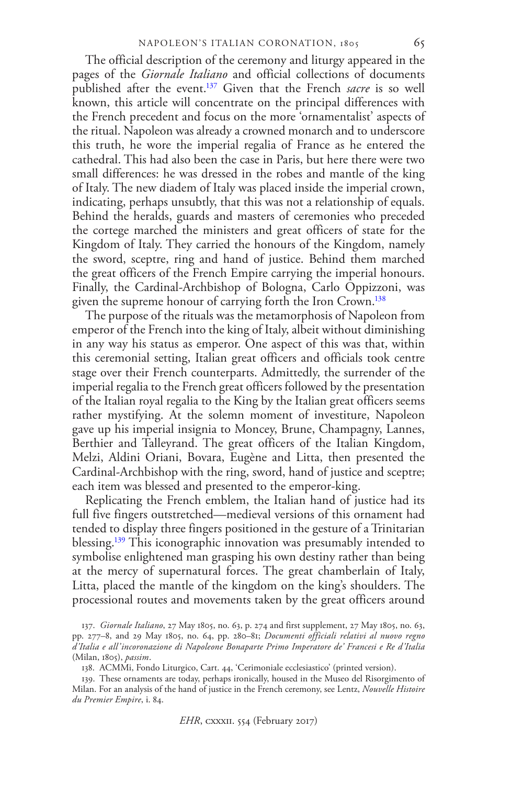The official description of the ceremony and liturgy appeared in the pages of the *Giornale Italiano* and official collections of documents published after the event.[137](#page-24-0) Given that the French *sacre* is so well known, this article will concentrate on the principal differences with the French precedent and focus on the more 'ornamentalist' aspects of the ritual. Napoleon was already a crowned monarch and to underscore this truth, he wore the imperial regalia of France as he entered the cathedral. This had also been the case in Paris, but here there were two small differences: he was dressed in the robes and mantle of the king of Italy. The new diadem of Italy was placed inside the imperial crown, indicating, perhaps unsubtly, that this was not a relationship of equals. Behind the heralds, guards and masters of ceremonies who preceded the cortege marched the ministers and great officers of state for the Kingdom of Italy. They carried the honours of the Kingdom, namely the sword, sceptre, ring and hand of justice. Behind them marched the great officers of the French Empire carrying the imperial honours. Finally, the Cardinal-Archbishop of Bologna, Carlo Oppizzoni, was given the supreme honour of carrying forth the Iron Crown.<sup>[138](#page-24-1)</sup>

The purpose of the rituals was the metamorphosis of Napoleon from emperor of the French into the king of Italy, albeit without diminishing in any way his status as emperor. One aspect of this was that, within this ceremonial setting, Italian great officers and officials took centre stage over their French counterparts. Admittedly, the surrender of the imperial regalia to the French great officers followed by the presentation of the Italian royal regalia to the King by the Italian great officers seems rather mystifying. At the solemn moment of investiture, Napoleon gave up his imperial insignia to Moncey, Brune, Champagny, Lannes, Berthier and Talleyrand. The great officers of the Italian Kingdom, Melzi, Aldini Oriani, Bovara, Eugène and Litta, then presented the Cardinal-Archbishop with the ring, sword, hand of justice and sceptre; each item was blessed and presented to the emperor-king.

Replicating the French emblem, the Italian hand of justice had its full five fingers outstretched—medieval versions of this ornament had tended to display three fingers positioned in the gesture of a Trinitarian blessing.<sup>[139](#page-24-2)</sup> This iconographic innovation was presumably intended to symbolise enlightened man grasping his own destiny rather than being at the mercy of supernatural forces. The great chamberlain of Italy, Litta, placed the mantle of the kingdom on the king's shoulders. The processional routes and movements taken by the great officers around

<span id="page-25-0"></span>137. *Giornale Italiano*, 27 May 1805, no. 63, p. 274 and first supplement, 27 May 1805, no. 63, pp. 277–8, and 29 May 1805, no. 64, pp. 280–81; *Documenti officiali relativi al nuovo regno d'Italia e all'incoronazione di Napoleone Bonaparte Primo Imperatore de' Francesi e Re d'Italia* (Milan, 1805), *passim*.

<span id="page-25-2"></span><span id="page-25-1"></span>138. ACMMi, Fondo Liturgico, Cart. 44, 'Cerimoniale ecclesiastico' (printed version).

139. These ornaments are today, perhaps ironically, housed in the Museo del Risorgimento of Milan. For an analysis of the hand of justice in the French ceremony, see Lentz, *Nouvelle Histoire du Premier Empire*, i. 84.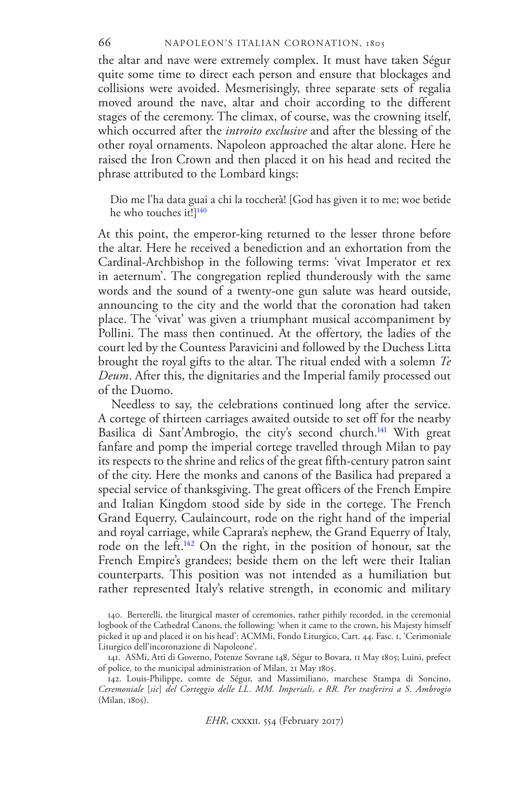#### 66 NAPOLEON'S ITALIAN CORONATION, 1805

the altar and nave were extremely complex. It must have taken Ségur quite some time to direct each person and ensure that blockages and collisions were avoided. Mesmerisingly, three separate sets of regalia moved around the nave, altar and choir according to the different stages of the ceremony. The climax, of course, was the crowning itself, which occurred after the *introito exclusive* and after the blessing of the other royal ornaments. Napoleon approached the altar alone. Here he raised the Iron Crown and then placed it on his head and recited the phrase attributed to the Lombard kings:

Dio me l'ha data guai a chi la toccherà! [God has given it to me; woe betide he who touches it!]<sup>[140](#page-25-0)</sup>

At this point, the emperor-king returned to the lesser throne before the altar. Here he received a benediction and an exhortation from the Cardinal-Archbishop in the following terms: 'vivat Imperator et rex in aeternum'. The congregation replied thunderously with the same words and the sound of a twenty-one gun salute was heard outside, announcing to the city and the world that the coronation had taken place. The 'vivat' was given a triumphant musical accompaniment by Pollini. The mass then continued. At the offertory, the ladies of the court led by the Countess Paravicini and followed by the Duchess Litta brought the royal gifts to the altar. The ritual ended with a solemn *Te Deum*. After this, the dignitaries and the Imperial family processed out of the Duomo.

Needless to say, the celebrations continued long after the service. A cortege of thirteen carriages awaited outside to set off for the nearby Basilica di Sant'Ambrogio, the city's second church.<sup>[141](#page-25-1)</sup> With great fanfare and pomp the imperial cortege travelled through Milan to pay its respects to the shrine and relics of the great fifth-century patron saint of the city. Here the monks and canons of the Basilica had prepared a special service of thanksgiving. The great officers of the French Empire and Italian Kingdom stood side by side in the cortege. The French Grand Equerry, Caulaincourt, rode on the right hand of the imperial and royal carriage, while Caprara's nephew, the Grand Equerry of Italy, rode on the left.[142](#page-25-2) On the right, in the position of honour, sat the French Empire's grandees; beside them on the left were their Italian counterparts. This position was not intended as a humiliation but rather represented Italy's relative strength, in economic and military

<span id="page-26-3"></span><span id="page-26-2"></span><span id="page-26-1"></span><span id="page-26-0"></span><sup>140.</sup> Berterelli, the liturgical master of ceremonies, rather pithily recorded, in the ceremonial logbook of the Cathedral Canons, the following: 'when it came to the crown, his Majesty himself picked it up and placed it on his head': ACMMi, Fondo Liturgico, Cart. 44. Fasc. 1, 'Cerimoniale Liturgico dell'incoronazione di Napoleone'.

<span id="page-26-5"></span><span id="page-26-4"></span><sup>141.</sup> ASMi, Atti di Governo, Potenze Sovrane 148, Ségur to Bovara, 11 May 1805; Luini, prefect of police, to the municipal administration of Milan, 21 May 1805.

<span id="page-26-6"></span><sup>142.</sup> Louis-Philippe, comte de Ségur, and Massimiliano, marchese Stampa di Soncino, *Ceremoniale* [*sic*] *del Corteggio delle LL. MM. Imperiali, e RR. Per trasferirsi a S. Ambrogio* (Milan, 1805).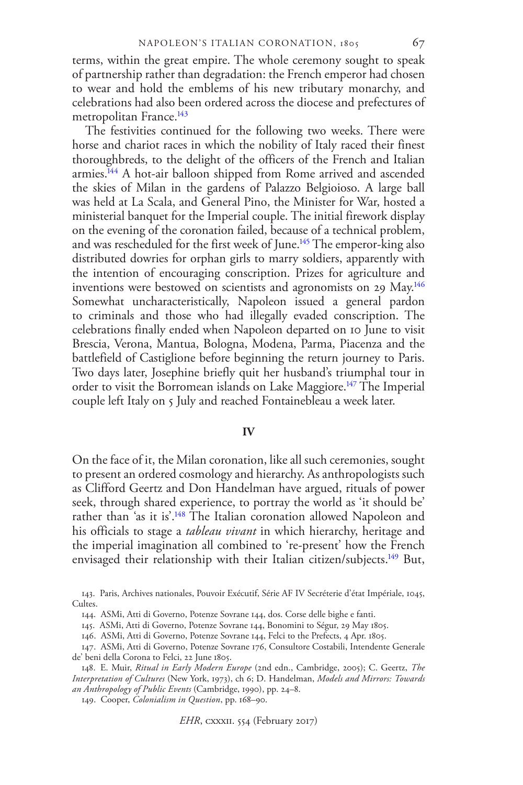terms, within the great empire. The whole ceremony sought to speak of partnership rather than degradation: the French emperor had chosen to wear and hold the emblems of his new tributary monarchy, and celebrations had also been ordered across the diocese and prefectures of metropolitan France.<sup>[143](#page-26-0)</sup>

The festivities continued for the following two weeks. There were horse and chariot races in which the nobility of Italy raced their finest thoroughbreds, to the delight of the officers of the French and Italian armies.[144](#page-26-1) A hot-air balloon shipped from Rome arrived and ascended the skies of Milan in the gardens of Palazzo Belgioioso. A large ball was held at La Scala, and General Pino, the Minister for War, hosted a ministerial banquet for the Imperial couple. The initial firework display on the evening of the coronation failed, because of a technical problem, and was rescheduled for the first week of June.<sup>[145](#page-26-2)</sup> The emperor-king also distributed dowries for orphan girls to marry soldiers, apparently with the intention of encouraging conscription. Prizes for agriculture and inventions were bestowed on scientists and agronomists on 29 May.<sup>[146](#page-26-3)</sup> Somewhat uncharacteristically, Napoleon issued a general pardon to criminals and those who had illegally evaded conscription. The celebrations finally ended when Napoleon departed on 10 June to visit Brescia, Verona, Mantua, Bologna, Modena, Parma, Piacenza and the battlefield of Castiglione before beginning the return journey to Paris. Two days later, Josephine briefly quit her husband's triumphal tour in order to visit the Borromean islands on Lake Maggiore.<sup>[147](#page-26-4)</sup> The Imperial couple left Italy on 5 July and reached Fontainebleau a week later.

#### **IV**

On the face of it, the Milan coronation, like all such ceremonies, sought to present an ordered cosmology and hierarchy. As anthropologists such as Clifford Geertz and Don Handelman have argued, rituals of power seek, through shared experience, to portray the world as 'it should be' rather than 'as it is'.<sup>[148](#page-26-5)</sup> The Italian coronation allowed Napoleon and his officials to stage a *tableau vivant* in which hierarchy, heritage and the imperial imagination all combined to 're-present' how the French envisaged their relationship with their Italian citizen/subjects.<sup>[149](#page-26-6)</sup> But,

<sup>143.</sup> Paris, Archives nationales, Pouvoir Exécutif, Série AF IV Secréterie d'état Impériale, 1045, Cultes.

<sup>144.</sup> ASMi, Atti di Governo, Potenze Sovrane 144, dos. Corse delle bighe e fanti.

<sup>145.</sup> ASMi, Atti di Governo, Potenze Sovrane 144, Bonomini to Ségur, 29 May 1805.

<span id="page-27-0"></span><sup>146.</sup> ASMi, Atti di Governo, Potenze Sovrane 144, Felci to the Prefects, 4 Apr. 1805.

<sup>147.</sup> ASMi, Atti di Governo, Potenze Sovrane 176, Consultore Costabili, Intendente Generale de' beni della Corona to Felci, 22 June 1805.

<span id="page-27-1"></span><sup>148.</sup> E. Muir, *Ritual in Early Modern Europe* (2nd edn., Cambridge, 2005); C. Geertz, *The Interpretation of Cultures* (New York, 1973), ch 6; D. Handelman, *Models and Mirrors: Towards an Anthropology of Public Events* (Cambridge, 1990), pp. 24–8.

<span id="page-27-3"></span><span id="page-27-2"></span><sup>149.</sup> Cooper, *Colonialism in Question*, pp. 168–90.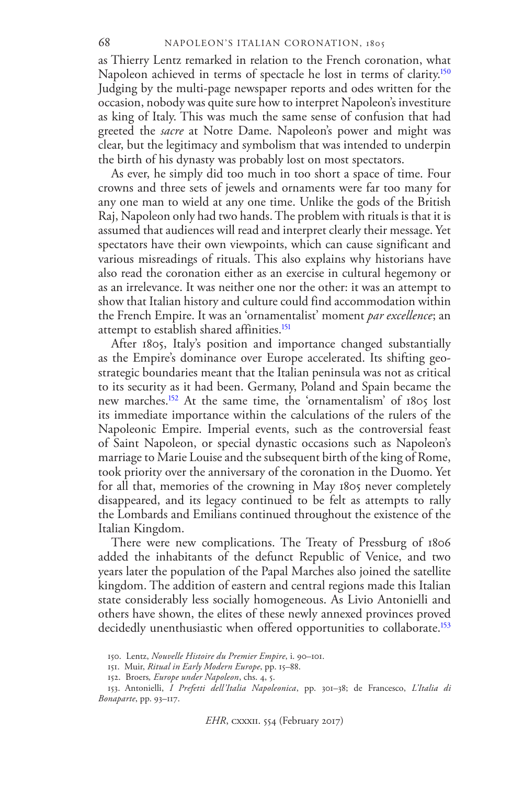as Thierry Lentz remarked in relation to the French coronation, what Napoleon achieved in terms of spectacle he lost in terms of clarity.<sup>[150](#page-27-0)</sup> Judging by the multi-page newspaper reports and odes written for the occasion, nobody was quite sure how to interpret Napoleon's investiture as king of Italy. This was much the same sense of confusion that had greeted the *sacre* at Notre Dame. Napoleon's power and might was clear, but the legitimacy and symbolism that was intended to underpin the birth of his dynasty was probably lost on most spectators.

As ever, he simply did too much in too short a space of time. Four crowns and three sets of jewels and ornaments were far too many for any one man to wield at any one time. Unlike the gods of the British Raj, Napoleon only had two hands. The problem with rituals is that it is assumed that audiences will read and interpret clearly their message. Yet spectators have their own viewpoints, which can cause significant and various misreadings of rituals. This also explains why historians have also read the coronation either as an exercise in cultural hegemony or as an irrelevance. It was neither one nor the other: it was an attempt to show that Italian history and culture could find accommodation within the French Empire. It was an 'ornamentalist' moment *par excellence*; an attempt to establish shared affinities.<sup>[151](#page-27-1)</sup>

After 1805, Italy's position and importance changed substantially as the Empire's dominance over Europe accelerated. Its shifting geostrategic boundaries meant that the Italian peninsula was not as critical to its security as it had been. Germany, Poland and Spain became the new marches.[152](#page-27-2) At the same time, the 'ornamentalism' of 1805 lost its immediate importance within the calculations of the rulers of the Napoleonic Empire. Imperial events, such as the controversial feast of Saint Napoleon, or special dynastic occasions such as Napoleon's marriage to Marie Louise and the subsequent birth of the king of Rome, took priority over the anniversary of the coronation in the Duomo. Yet for all that, memories of the crowning in May 1805 never completely disappeared, and its legacy continued to be felt as attempts to rally the Lombards and Emilians continued throughout the existence of the Italian Kingdom.

There were new complications. The Treaty of Pressburg of 1806 added the inhabitants of the defunct Republic of Venice, and two years later the population of the Papal Marches also joined the satellite kingdom. The addition of eastern and central regions made this Italian state considerably less socially homogeneous. As Livio Antonielli and others have shown, the elites of these newly annexed provinces proved decidedly unenthusiastic when offered opportunities to collaborate.<sup>[153](#page-27-3)</sup>

<span id="page-28-1"></span><span id="page-28-0"></span><sup>150.</sup> Lentz, *Nouvelle Histoire du Premier Empire*, i. 90–101.

<span id="page-28-2"></span><sup>151.</sup> Muir, *Ritual in Early Modern Europe*, pp. 15–88.

<sup>152.</sup> Broers*, Europe under Napoleon*, chs. 4, 5.

<span id="page-28-5"></span><span id="page-28-4"></span><span id="page-28-3"></span><sup>153.</sup> Antonielli, *I Prefetti dell'Italia Napoleonica*, pp. 301–38; de Francesco, *L'Italia di Bonaparte*, pp. 93–117.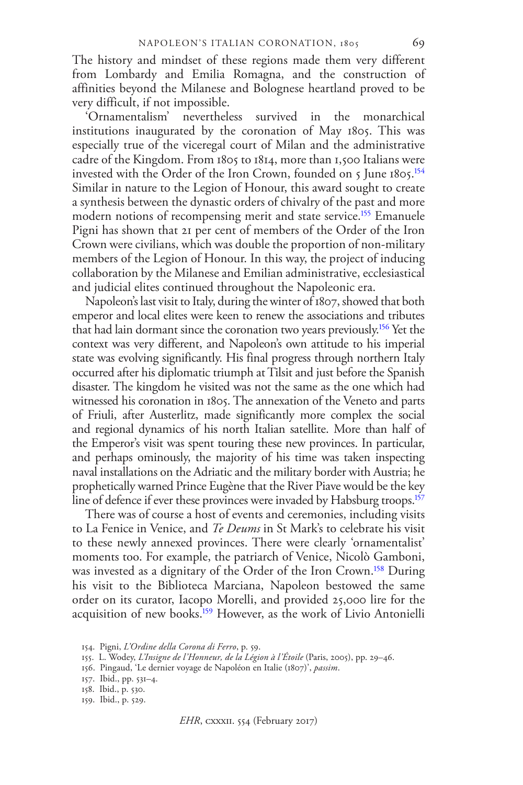The history and mindset of these regions made them very different from Lombardy and Emilia Romagna, and the construction of affinities beyond the Milanese and Bolognese heartland proved to be very difficult, if not impossible.

'Ornamentalism' nevertheless survived in the monarchical institutions inaugurated by the coronation of May 1805. This was especially true of the viceregal court of Milan and the administrative cadre of the Kingdom. From 1805 to 1814, more than 1,500 Italians were invested with the Order of the Iron Crown, founded on 5 June 1805.<sup>[154](#page-28-0)</sup> Similar in nature to the Legion of Honour, this award sought to create a synthesis between the dynastic orders of chivalry of the past and more modern notions of recompensing merit and state service.<sup>[155](#page-28-1)</sup> Emanuele Pigni has shown that 21 per cent of members of the Order of the Iron Crown were civilians, which was double the proportion of non-military members of the Legion of Honour. In this way, the project of inducing collaboration by the Milanese and Emilian administrative, ecclesiastical and judicial elites continued throughout the Napoleonic era.

Napoleon's last visit to Italy, during the winter of 1807, showed that both emperor and local elites were keen to renew the associations and tributes that had lain dormant since the coronation two years previously.[156](#page-28-2) Yet the context was very different, and Napoleon's own attitude to his imperial state was evolving significantly. His final progress through northern Italy occurred after his diplomatic triumph at Tilsit and just before the Spanish disaster. The kingdom he visited was not the same as the one which had witnessed his coronation in 1805. The annexation of the Veneto and parts of Friuli, after Austerlitz, made significantly more complex the social and regional dynamics of his north Italian satellite. More than half of the Emperor's visit was spent touring these new provinces. In particular, and perhaps ominously, the majority of his time was taken inspecting naval installations on the Adriatic and the military border with Austria; he prophetically warned Prince Eugène that the River Piave would be the key line of defence if ever these provinces were invaded by Habsburg troops.<sup>[157](#page-28-3)</sup>

There was of course a host of events and ceremonies, including visits to La Fenice in Venice, and *Te Deums* in St Mark's to celebrate his visit to these newly annexed provinces. There were clearly 'ornamentalist' moments too. For example, the patriarch of Venice, Nicolò Gamboni, was invested as a dignitary of the Order of the Iron Crown.<sup>[158](#page-28-4)</sup> During his visit to the Biblioteca Marciana, Napoleon bestowed the same order on its curator, Iacopo Morelli, and provided 25,000 lire for the acquisition of new books.[159](#page-28-5) However, as the work of Livio Antonielli

<span id="page-29-0"></span><sup>154.</sup> Pigni, *L'Ordine della Corona di Ferro*, p. 59.

<span id="page-29-1"></span><sup>155.</sup> L. Wodey, *L'Insigne de l'Honneur, de la Légion à l'Étoile* (Paris, 2005), pp. 29–46.

<span id="page-29-2"></span><sup>156.</sup> Pingaud, 'Le dernier voyage de Napoléon en Italie (1807)', *passim*.

<span id="page-29-3"></span><sup>157.</sup> Ibid., pp. 531–4.

<sup>158.</sup> Ibid., p. 530.

<span id="page-29-4"></span><sup>159.</sup> Ibid., p. 529.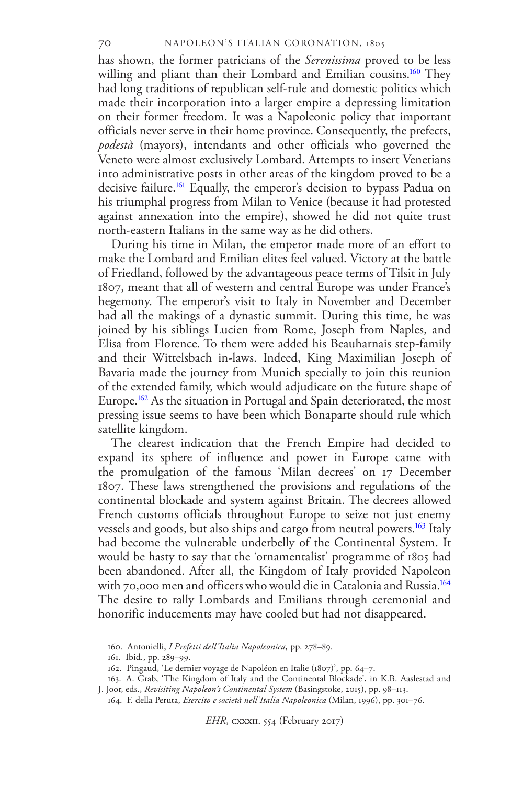has shown, the former patricians of the *Serenissima* proved to be less willing and pliant than their Lombard and Emilian cousins.<sup>[160](#page-29-0)</sup> They had long traditions of republican self-rule and domestic politics which made their incorporation into a larger empire a depressing limitation on their former freedom. It was a Napoleonic policy that important officials never serve in their home province. Consequently, the prefects, *podestà* (mayors), intendants and other officials who governed the Veneto were almost exclusively Lombard. Attempts to insert Venetians into administrative posts in other areas of the kingdom proved to be a decisive failure.<sup>[161](#page-29-1)</sup> Equally, the emperor's decision to bypass Padua on his triumphal progress from Milan to Venice (because it had protested against annexation into the empire), showed he did not quite trust north-eastern Italians in the same way as he did others.

During his time in Milan, the emperor made more of an effort to make the Lombard and Emilian elites feel valued. Victory at the battle of Friedland, followed by the advantageous peace terms of Tilsit in July 1807, meant that all of western and central Europe was under France's hegemony. The emperor's visit to Italy in November and December had all the makings of a dynastic summit. During this time, he was joined by his siblings Lucien from Rome, Joseph from Naples, and Elisa from Florence. To them were added his Beauharnais step-family and their Wittelsbach in-laws. Indeed, King Maximilian Joseph of Bavaria made the journey from Munich specially to join this reunion of the extended family, which would adjudicate on the future shape of Europe.[162](#page-29-2) As the situation in Portugal and Spain deteriorated, the most pressing issue seems to have been which Bonaparte should rule which satellite kingdom.

The clearest indication that the French Empire had decided to expand its sphere of influence and power in Europe came with the promulgation of the famous 'Milan decrees' on 17 December 1807. These laws strengthened the provisions and regulations of the continental blockade and system against Britain. The decrees allowed French customs officials throughout Europe to seize not just enemy vessels and goods, but also ships and cargo from neutral powers.<sup>[163](#page-29-3)</sup> Italy had become the vulnerable underbelly of the Continental System. It would be hasty to say that the 'ornamentalist' programme of 1805 had been abandoned. After all, the Kingdom of Italy provided Napoleon with 70,000 men and officers who would die in Catalonia and Russia.<sup>[164](#page-29-4)</sup> The desire to rally Lombards and Emilians through ceremonial and honorific inducements may have cooled but had not disappeared.

*EHR*, cxxxii. 554 (February 2017)

<span id="page-30-2"></span><sup>160.</sup> Antonielli, *I Prefetti dell'Italia Napoleonica,* pp. 278–89.

<sup>161.</sup> Ibid., pp. 289–99.

<sup>162.</sup> Pingaud, 'Le dernier voyage de Napoléon en Italie (1807)', pp. 64–7.

<span id="page-30-3"></span><span id="page-30-1"></span><span id="page-30-0"></span><sup>163.</sup> A. Grab, 'The Kingdom of Italy and the Continental Blockade', in K.B. Aaslestad and J. Joor, eds., *Revisiting Napoleon's Continental System* (Basingstoke, 2015), pp. 98–113.

<span id="page-30-4"></span><sup>164.</sup> F. della Peruta, *Esercito e società nell'Italia Napoleonica* (Milan, 1996), pp. 301–76.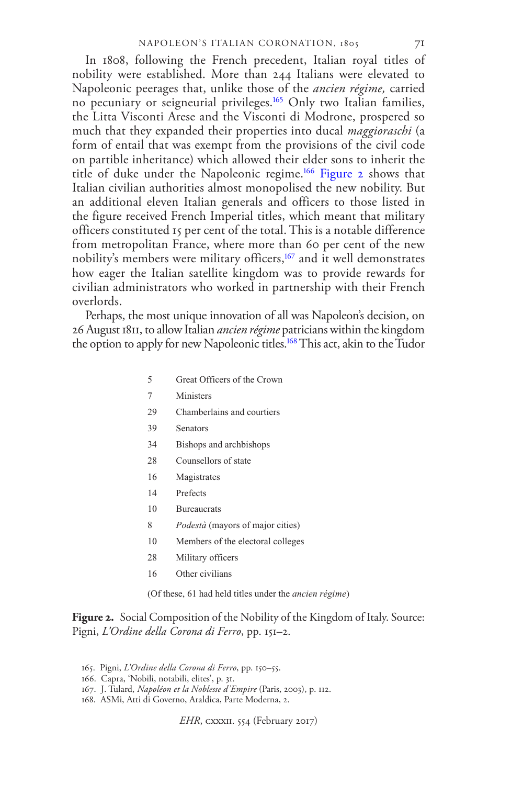In 1808, following the French precedent, Italian royal titles of nobility were established. More than 244 Italians were elevated to Napoleonic peerages that, unlike those of the *ancien régime,* carried no pecuniary or seigneurial privileges.[165](#page-30-0) Only two Italian families, the Litta Visconti Arese and the Visconti di Modrone, prospered so much that they expanded their properties into ducal *maggioraschi* (a form of entail that was exempt from the provisions of the civil code on partible inheritance) which allowed their elder sons to inherit the title of duke under the Napoleonic regime.[166](#page-30-1) [Figure 2](#page-30-2) shows that Italian civilian authorities almost monopolised the new nobility. But an additional eleven Italian generals and officers to those listed in the figure received French Imperial titles, which meant that military officers constituted 15 per cent of the total. This is a notable difference from metropolitan France, where more than 60 per cent of the new nobility's members were military officers,<sup>[167](#page-30-3)</sup> and it well demonstrates how eager the Italian satellite kingdom was to provide rewards for civilian administrators who worked in partnership with their French overlords.

Perhaps, the most unique innovation of all was Napoleon's decision, on 26 August 1811, to allow Italian *ancien régime* patricians within the kingdom the option to apply for new Napoleonic titles.<sup>[168](#page-30-4)</sup> This act, akin to the Tudor

- 5 Great Officers of the Crown
- 7 Ministers
- 29 Chamberlains and courtiers
- 39 Senators
- 34 Bishops and archbishops
- 28 Counsellors of state
- 16 Magistrates
- 14 Prefects
- 10 Bureaucrats
- 8 *Podestà* (mayors of major cities)
- 10 Members of the electoral colleges
- 28 Military officers
- <span id="page-31-0"></span>16 Other civilians

<span id="page-31-3"></span><span id="page-31-2"></span><span id="page-31-1"></span>(Of these, 61 had held titles under the *ancien régime*)

**Figure 2.** Social Composition of the Nobility of the Kingdom of Italy. Source: Pigni, *L'Ordine della Corona di Ferro*, pp. 151–2.

- <span id="page-31-5"></span><span id="page-31-4"></span>165. Pigni, *L'Ordine della Corona di Ferro*, pp. 150–55.
- <span id="page-31-6"></span>166. Capra, 'Nobili, notabili, elites', p. 31.
- 167. J. Tulard, *Napoléon et la Noblesse d'Empire* (Paris, 2003), p. 112.
- <span id="page-31-7"></span>168. ASMi, Atti di Governo, Araldica, Parte Moderna, 2.